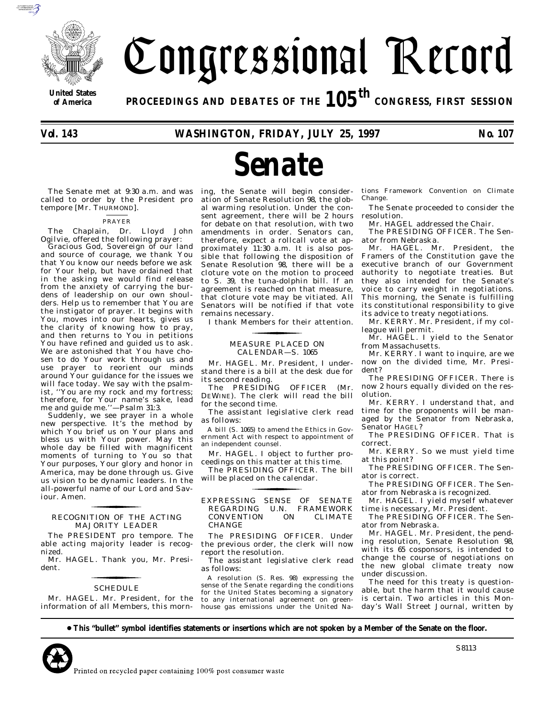

# Congressional Record

**United States**

*of* **America PROCEEDINGS AND DEBATES OF THE** *105th* **CONGRESS, FIRST SESSION**

# *Senate*

The Senate met at 9:30 a.m. and was called to order by the President pro tempore [Mr. THURMOND].

### PRAYER

The Chaplain, Dr. Lloyd John Ogilvie, offered the following prayer:

Gracious God, Sovereign of our land and source of courage, we thank You that You know our needs before we ask for Your help, but have ordained that in the asking we would find release from the anxiety of carrying the burdens of leadership on our own shoulders. Help us to remember that You are the instigator of prayer. It begins with You, moves into our hearts, gives us the clarity of knowing how to pray, and then returns to You in petitions You have refined and guided us to ask. We are astonished that You have chosen to do Your work through us and use prayer to reorient our minds around Your guidance for the issues we will face today. We say with the psalmist, ''You are my rock and my fortress; therefore, for Your name's sake, lead me and guide me.''—Psalm 31:3.

Suddenly, we see prayer in a whole new perspective. It's the method by which You brief us on Your plans and bless us with Your power. May this whole day be filled with magnificent moments of turning to You so that Your purposes, Your glory and honor in America, may be done through us. Give us vision to be dynamic leaders. In the all-powerful name of our Lord and Saviour. Amen.

# RECOGNITION OF THE ACTING MAJORITY LEADER for the control of the control of

The PRESIDENT pro tempore. The able acting majority leader is recognized.

Mr. HAGEL. Thank you, Mr. President.

## for the contract of the contract of SCHEDULE

Mr. HAGEL. Mr. President, for the information of all Members, this morn-

ing, the Senate will begin consideration of Senate Resolution 98, the global warming resolution. Under the consent agreement, there will be 2 hours for debate on that resolution, with two amendments in order. Senators can, therefore, expect a rollcall vote at approximately 11:30 a.m. It is also possible that following the disposition of Senate Resolution 98, there will be a cloture vote on the motion to proceed to S. 39, the tuna-dolphin bill. If an agreement is reached on that measure, that cloture vote may be vitiated. All Senators will be notified if that vote remains necessary.

I thank Members for their attention. for the control of the control of

### MEASURE PLACED ON CALENDAR—S. 1065

Mr. HAGEL. Mr. President, I understand there is a bill at the desk due for its second reading.

The PRESIDING OFFICER (Mr. DEWINE). The clerk will read the bill for the second time.

The assistant legislative clerk read as follows:

A bill (S. 1065) to amend the Ethics in Government Act with respect to appointment of an independent counsel.

Mr. HAGEL. I object to further proceedings on this matter at this time.

The PRESIDING OFFICER. The bill will be placed on the calendar. for the control of the control of

### EXPRESSING SENSE OF SENATE REGARDING U.N. FRAMEWORK CONVENTION ON CLIMATE CHANGE

The PRESIDING OFFICER. Under the previous order, the clerk will now report the resolution.

The assistant legislative clerk read as follows:

A resolution (S. Res. 98) expressing the sense of the Senate regarding the conditions for the United States becoming a signatory to any international agreement on greenhouse gas emissions under the United Na-

tions Framework Convention on Climate Change.

The Senate proceeded to consider the resolution.

Mr. HAGEL addressed the Chair.

The PRESIDING OFFICER. The Senator from Nebraska.

Mr. HAGEL. Mr. President, the Framers of the Constitution gave the executive branch of our Government authority to negotiate treaties. But they also intended for the Senate's voice to carry weight in negotiations. This morning, the Senate is fulfilling its constitutional responsibility to give its advice to treaty negotiations.

Mr. KERRY. Mr. President, if my colleague will permit.

Mr. HAGEL. I yield to the Senator from Massachusetts.

Mr. KERRY. I want to inquire, are we now on the divided time, Mr. President?

The PRESIDING OFFICER. There is now 2 hours equally divided on the resolution.

Mr. KERRY. I understand that, and time for the proponents will be managed by the Senator from Nebraska, Senator HAGEL?

The PRESIDING OFFICER. That is correct.

Mr. KERRY. So we must yield time at this point?

The PRESIDING OFFICER. The Senator is correct.

The PRESIDING OFFICER. The Senator from Nebraska is recognized.

Mr. HAGEL. I yield myself whatever time is necessary, Mr. President.

The PRESIDING OFFICER. The Senator from Nebraska.

Mr. HAGEL. Mr. President, the pending resolution, Senate Resolution 98, with its 65 cosponsors, is intended to change the course of negotiations on the new global climate treaty now under discussion.

The need for this treaty is questionable, but the harm that it would cause is certain. Two articles in this Monday's Wall Street Journal, written by

∑ **This ''bullet'' symbol identifies statements or insertions which are not spoken by a Member of the Senate on the floor.**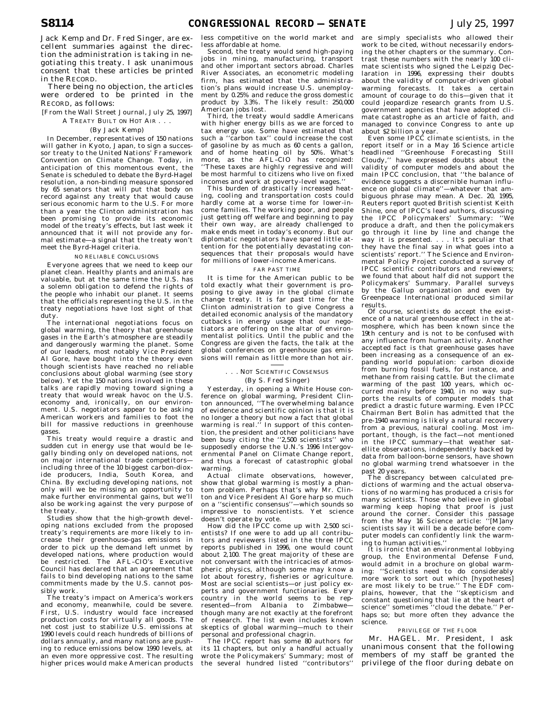Jack Kemp and Dr. Fred Singer, are excellent summaries against the direction the administration is taking in negotiating this treaty. I ask unanimous consent that these articles be printed in the RECORD.

There being no objection, the articles were ordered to be printed in the RECORD, as follows:

[From the Wall Street Journal, July 25, 1997] A TREATY BUILT ON HOT AIR . . .

### (By Jack Kemp)

In December, representatives of 150 nations will gather in Kyoto, Japan, to sign a successor treaty to the United Nations' Framework Convention on Climate Change. Today, in anticipation of this momentous event, the Senate is scheduled to debate the Byrd-Hagel resolution, a non-binding measure sponsored by 65 senators that will put that body on record against any treaty that would cause serious economic harm to the U.S. For more than a year the Clinton administration has been promising to provide its economic model of the treaty's effects, but last week it announced that it will not provide any formal estimate—a signal that the treaty won't meet the Byrd-Hagel criteria.

### NO RELIABLE CONCLUSIONS

Everyone agrees that we need to keep our planet clean. Healthy plants and animals are valuable, but at the same time the U.S. has a solemn obligation to defend the rights of the people who inhabit our planet. It seems that the officials representing the U.S. in the treaty negotiations have lost sight of that duty.

The international negotiations focus on global warming, the theory that greenhouse gases in the Earth's atmosphere are steadily and dangerously warming the planet. Some of our leaders, most notably Vice President Al Gore, have bought into the theory even though scientists have reached no reliable conclusions about global warming (see story below). Yet the 150 nations involved in these talks are rapidly moving toward signing a treaty that would wreak havoc on the U.S. economy and, ironically, on our environment. U.S. negotiators appear to be asking American workers and families to foot the bill for massive reductions in greenhouse gases.

This treaty would require a drastic and sudden cut in energy use that would be legally binding only on developed nations, not on major international trade competitors including three of the 10 biggest carbon-dioxide producers, India, South Korea, and China. By excluding developing nations, not only will we be missing an opportunity to make further environmental gains, but we'll also be working against the very purpose of the treaty.

Studies show that the high-growth developing nations excluded from the proposed treaty's requirements are more likely to increase their greenhouse-gas emissions in order to pick up the demand left unmet by developed nations, where production would be restricted. The AFL–CIO's Executive Council has declared that an agreement that fails to bind developing nations to the same commitments made by the U.S. cannot possibly work.

The treaty's impact on America's workers and economy, meanwhile, could be severe. First, U.S. industry would face increased production costs for virtually all goods. The net cost just to stabilize U.S. emissions at 1990 levels could reach hundreds of billions of dollars annually, and many nations are pushing to reduce emissions below 1990 levels, at an even more oppressive cost. The resulting higher prices would make American products

less competitive on the world market and less affordable at home.

Second, the treaty would send high-paying jobs in mining, manufacturing, transport and other important sectors abroad. Charles River Associates, an econometric modeling firm, has estimated that the administration's plans would increase U.S. unemployment by 0.25% and reduce the gross domestic product by 3.3%. The likely result: 250,000 American jobs lost.

Third, the treaty would saddle Americans with higher energy bills as we are forced to tax energy use. Some have estimated that such a ''carbon tax'' could increase the cost of gasoline by as much as 60 cents a gallon, and of home heating oil by 50%. What's more, as the AFL–CIO has recognized: 'These taxes are highly regressive and will be most harmful to citizens who live on fixed incomes and work at poverty-level wages.

This burden of drastically increased heating, cooling and transportation costs could hardly come at a worse time for lower-income families. The working poor, and people just getting off welfare and beginning to pay their own way, are already challenged to make ends meet in today's economy. But our diplomatic negotiators have spared little attention for the potentially devastating consequences that their proposals would have for millions of lower-income Americans.

### FAR PAST TIME

It is time for the American public to be told exactly what their government is proposing to give away in the global climate change treaty. It is far past time for the Clinton administration to give Congress a detailed economic analysis of the mandatory cutbacks in energy usage that our negotiators are offering on the altar of environmentalist politics. Until the public and the Congress are given the facts, the talk at the global conferences on greenhouse gas emissions will remain as little more than hot air.

### . . . NOT SCIENTIFIC CONSENSUS (By S. Fred Singer)

Yesterday, in opening a White House conference on global warming, President Clinton announced, ''The overwhelming balance of evidence and scientific opinion is that it is no longer a theory but now a fact that global warming is real.'' In support of this contention, the president and other politicians have been busy citing the ''2,500 scientists'' who supposedly endorse the U.N.'s 1996 Intergovernmental Panel on Climate Change report, and thus a forecast of catastrophic global warming.

Actual climate observations, however, show that global warming is mostly a phantom problem. Perhaps that's why Mr. Clinton and Vice President Al Gore harp so much on a ''scientific consensus''—which sounds so impressive to nonscientists. Yet science doesn't operate by vote.

How did the IPCC come up with 2,500 scientists? If one were to add up all contributors and reviewers listed in the three IPCC reports published in 1996, one would count about 2,100. The great majority of these are not conversant with the intricacies of atmospheric physics, although some may know a lot about forestry, fisheries or agriculture. Most are social scientists—or just policy experts and government functionaries. Every country in the world seems to be represented—from Albania to Zimbabwe though many are not exactly at the forefront of research. The list even includes known skeptics of global warming—much to their personal and professional chagrin.

The IPCC report has some 80 authors for its 11 chapters, but only a handful actually wrote the Policymakers' Summary; most of the several hundred listed ''contributors''

are simply specialists who allowed their work to be cited, without necessarily endorsing the other chapters or the summary. Contrast these numbers with the nearly 100 climate scientists who signed the Leipzig Declaration in 1996, expressing their doubts about the validity of computer-driven global warming forecasts. It takes a certain amount of courage to do this—given that it could jeopardize research grants from U.S. government agencies that have adopted climate catastrophe as an article of faith, and managed to convince Congress to ante up

about \$2 billion a year. Even some IPCC climate scientists, in the report itself or in a May 16 Science article headlined ''Greenhouse Forecasting Still Cloudy,'' have expressed doubts about the validity of computer models and about the main IPCC conclusion, that ''the balance of evidence suggests a discernible human influence on global climate''—whatever that ambiguous phrase may mean. A Dec. 20, 1995, Reuters report quoted British scientist Keith Shine, one of IPCC's lead authors, discussing the IPCC Policymakers' Summary: ''We produce a draft, and then the policymakers go through it line by line and change the way it is presented. . . . It's peculiar that they have the final say in what goes into a scientists' report.'' The Science and Environmental Policy Project conducted a survey of IPCC scientific contributors and reviewers; we found that about half did not support the Policymakers' Summary. Parallel surveys by the Gallup organization and even by Greenpeace International produced similar results.

Of course, scientists do accept the existence of a natural greenhouse effect in the atmosphere, which has been known since the 19th century and is not to be confused with any influence from human activity. Another accepted fact is that greenhouse gases have been increasing as a consequence of an expanding world population: carbon dioxide from burning fossil fuels, for instance, and methane from raising cattle. But the climate warming of the past 100 years, which occurred mainly before 1940, in no way supports the results of computer models that predict a drastic future warming. Even IPCC Chairman Bert Bolin has admitted that the pre-1940 warming is likely a natural recovery from a previous, natural cooling. Most important, though, is the fact—not mentioned in the IPCC summary—that weather satellite observations, independently backed by data from balloon-borne sensors, have shown no global warming trend whatsoever in the past 20 years.

The discrepancy between calculated predictions of warming and the actual observations of no warming has produced a crisis for many scientists. Those who believe in global warming keep hoping that proof is just around the corner. Consider this passage from the May 16 Science article: ''[M]any scientists say it will be a decade before computer models can confidently link the warming to human activities.''

It is ironic that an environmental lobbying group, the Environmental Defense Fund, would admit in a brochure on global warming: ''Scientists need to do considerably more work to sort out which [hypotheses] are most likely to be true.'' The EDF complains, however, that the ''skepticism and constant questioning that lie at the heart of science'' sometimes ''cloud the debate.'' Perhaps so; but more often they advance the science.

### PRIVILEGE OF THE FLOOR

Mr. HAGEL. Mr. President, I ask unanimous consent that the following members of my staff be granted the privilege of the floor during debate on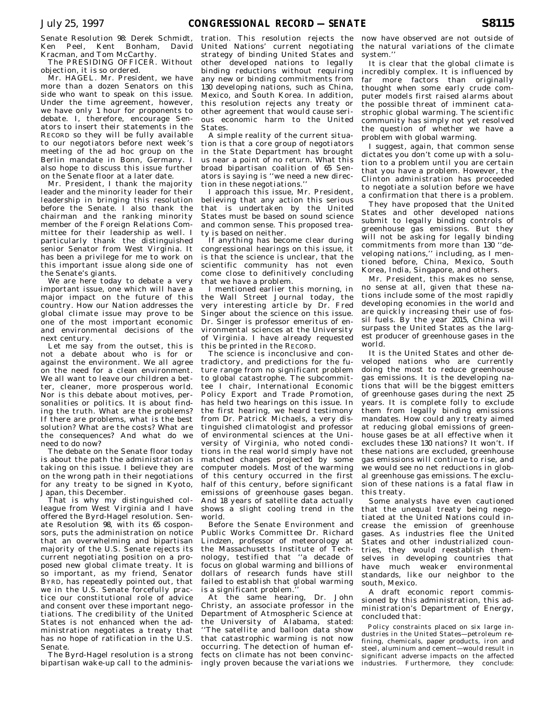Senate Resolution 98: Derek Schmidt, Ken Peel, Kent Bonham, David Kracman, and Tom McCarthy.

The PRESIDING OFFICER. Without objection, it is so ordered.

Mr. HAGEL. Mr. President, we have more than a dozen Senators on this side who want to speak on this issue. Under the time agreement, however, we have only 1 hour for proponents to debate. I, therefore, encourage Senators to insert their statements in the RECORD so they will be fully available to our negotiators before next week's meeting of the ad hoc group on the Berlin mandate in Bonn, Germany. I also hope to discuss this issue further on the Senate floor at a later date.

Mr. President, I thank the majority leader and the minority leader for their leadership in bringing this resolution before the Senate. I also thank the chairman and the ranking minority member of the Foreign Relations Committee for their leadership as well. I particularly thank the distinguished senior Senator from West Virginia. It has been a privilege for me to work on this important issue along side one of the Senate's giants.

We are here today to debate a very important issue, one which will have a major impact on the future of this country. How our Nation addresses the global climate issue may prove to be one of the most important economic and environmental decisions of the next century.

Let me say from the outset, this is not a debate about who is for or against the environment. We all agree on the need for a clean environment. We all want to leave our children a better, cleaner, more prosperous world. Nor is this debate about motives, personalities or politics. It is about finding the truth. What are the problems? If there are problems, what is the best solution? What are the costs? What are the consequences? And what do we need to do now?

The debate on the Senate floor today is about the path the administration is taking on this issue. I believe they are on the wrong path in their negotiations for any treaty to be signed in Kyoto, Japan, this December.

That is why my distinguished colleague from West Virginia and I have offered the Byrd-Hagel resolution. Senate Resolution 98, with its 65 cosponsors, puts the administration on notice that an overwhelming and bipartisan majority of the U.S. Senate rejects its current negotiating position on a proposed new global climate treaty. It is so important, as my friend, Senator BYRD, has repeatedly pointed out, that we in the U.S. Senate forcefully practice our constitutional role of advice and consent over these important negotiations. The credibility of the United States is not enhanced when the administration negotiates a treaty that has no hope of ratification in the U.S. Senate.

The Byrd-Hagel resolution is a strong bipartisan wake-up call to the adminis-

tration. This resolution rejects the United Nations' current negotiating strategy of binding United States and other developed nations to legally binding reductions without requiring any new or binding commitments from 130 developing nations, such as China, Mexico, and South Korea. In addition, this resolution rejects any treaty or other agreement that would cause serious economic harm to the United States.

A simple reality of the current situation is that a core group of negotiators in the State Department has brought us near a point of no return. What this broad bipartisan coalition of 65 Senators is saying is ''we need a new direction in these negotiations.''

I approach this issue, Mr. President, believing that any action this serious that is undertaken by the United States must be based on sound science and common sense. This proposed treaty is based on neither.

If anything has become clear during congressional hearings on this issue, it is that the science is unclear, that the scientific community has not even come close to definitively concluding that we have a problem.

I mentioned earlier this morning, in the Wall Street Journal today, the very interesting article by Dr. Fred Singer about the science on this issue. Dr. Singer is professor emeritus of environmental sciences at the University of Virginia. I have already requested this be printed in the RECORD.

The science is inconclusive and contradictory, and predictions for the future range from no significant problem to global catastrophe. The subcommittee I chair, International Economic Policy Export and Trade Promotion, has held two hearings on this issue. In the first hearing, we heard testimony from Dr. Patrick Michaels, a very distinguished climatologist and professor of environmental sciences at the University of Virginia, who noted conditions in the real world simply have not matched changes projected by some computer models. Most of the warming of this century occurred in the first half of this century, before significant emissions of greenhouse gases began. And 18 years of satellite data actually shows a slight cooling trend in the world.

Before the Senate Environment and Public Works Committee Dr. Richard Lindzen, professor of meteorology at the Massachusetts Institute of Technology, testified that ''a decade of focus on global warming and billions of dollars of research funds have still failed to establish that global warming is a significant problem.

At the same hearing, Dr. John Christy, an associate professor in the Department of Atmospheric Science at the University of Alabama, stated: ''The satellite and balloon data show that catastrophic warming is not now occurring. The detection of human effects on climate has not been convincingly proven because the variations we

now have observed are not outside of the natural variations of the climate system.''

It is clear that the global climate is incredibly complex. It is influenced by far more factors than originally thought when some early crude computer models first raised alarms about the possible threat of imminent catastrophic global warming. The scientific community has simply not yet resolved the question of whether we have a problem with global warming.

I suggest, again, that common sense dictates you don't come up with a solution to a problem until you are certain that you have a problem. However, the Clinton administration has proceeded to negotiate a solution before we have a confirmation that there is a problem.

They have proposed that the United States and other developed nations submit to legally binding controls of greenhouse gas emissions. But they will not be asking for legally binding commitments from more than 130 ''developing nations,'' including, as I mentioned before, China, Mexico, South Korea, India, Singapore, and others.

Mr. President, this makes no sense, no sense at all, given that these nations include some of the most rapidly developing economies in the world and are quickly increasing their use of fossil fuels. By the year 2015, China will surpass the United States as the largest producer of greenhouse gases in the world.

It is the United States and other developed nations who are currently doing the most to reduce greenhouse gas emissions. It is the developing nations that will be the biggest emitters of greenhouse gases during the next 25 years. It is complete folly to exclude them from legally binding emissions mandates. How could any treaty aimed at reducing global emissions of greenhouse gases be at all effective when it excludes these 130 nations? It won't. If these nations are excluded, greenhouse gas emissions will continue to rise, and we would see no net reductions in global greenhouse gas emissions. The exclusion of these nations is a fatal flaw in this treaty.

Some analysts have even cautioned that the unequal treaty being negotiated at the United Nations could increase the emission of greenhouse gases. As industries flee the United States and other industrialized countries, they would reestablish themselves in developing countries that have much weaker environmental standards, like our neighbor to the south, Mexico.

A draft economic report commissioned by this administration, this administration's Department of Energy, concluded that:

Policy constraints placed on six large industries in the United States—petroleum refining, chemicals, paper products, iron and steel, aluminum and cement—would result in significant adverse impacts on the affected industries. Furthermore, they conclude: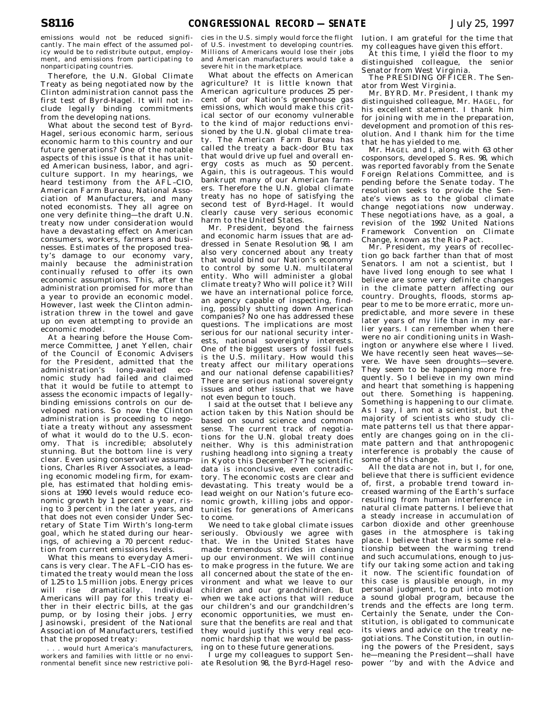emissions would not be reduced significantly. The main effect of the assumed policy would be to redistribute output, employment, and emissions from participating to nonparticipating countries.

Therefore, the U.N. Global Climate Treaty as being negotiated now by the Clinton administration cannot pass the first test of Byrd-Hagel. It will not include legally binding commitments from the developing nations.

What about the second test of Byrd-Hagel, serious economic harm, serious economic harm to this country and our future generations? One of the notable aspects of this issue is that it has united American business, labor, and agriculture support. In my hearings, we heard testimony from the AFL–CIO, American Farm Bureau, National Association of Manufacturers, and many noted economists. They all agree on one very definite thing—the draft U.N. treaty now under consideration would have a devastating effect on American consumers, workers, farmers and businesses. Estimates of the proposed treaty's damage to our economy vary, mainly because the administration continually refused to offer its own economic assumptions. This, after the administration promised for more than a year to provide an economic model. However, last week the Clinton administration threw in the towel and gave up on even attempting to provide an economic model.

At a hearing before the House Commerce Committee, Janet Yellen, chair of the Council of Economic Advisers for the President, admitted that the administration's long-awaited economic study had failed and claimed that it would be futile to attempt to assess the economic impacts of legallybinding emissions controls on our developed nations. So now the Clinton administration is proceeding to negotiate a treaty without any assessment of what it would do to the U.S. economy. That is incredible; absolutely stunning. But the bottom line is very clear. Even using conservative assumptions, Charles River Associates, a leading economic modeling firm, for example, has estimated that holding emissions at 1990 levels would reduce economic growth by 1 percent a year, rising to 3 percent in the later years, and that does not even consider Under Secretary of State Tim Wirth's long-term goal, which he stated during our hearings, of achieving a 70 percent reduction from current emissions levels.

What this means to everyday Americans is very clear. The AFL–CIO has estimated the treaty would mean the loss of 1.25 to 1.5 million jobs. Energy prices will rise dramatically. Individual Americans will pay for this treaty either in their electric bills, at the gas pump, or by losing their jobs. Jerry Jasinowski, president of the National Association of Manufacturers, testified that the proposed treaty:

. . . would hurt America's manufacturers, workers and families with little or no environmental benefit since new restrictive poli-

cies in the U.S. simply would force the flight of U.S. investment to developing countries. Millions of Americans would lose their jobs and American manufacturers would take a severe hit in the marketplace.

What about the effects on American agriculture? It is little known that American agriculture produces 25 percent of our Nation's greenhouse gas emissions, which would make this critical sector of our economy vulnerable to the kind of major reductions envisioned by the U.N. global climate treaty. The American Farm Bureau has called the treaty a back-door Btu tax that would drive up fuel and overall energy costs as much as 50 percent. Again, this is outrageous. This would bankrupt many of our American farmers. Therefore the U.N. global climate treaty has no hope of satisfying the second test of Byrd-Hagel. It would clearly cause very serious economic harm to the United States.

Mr. President, beyond the fairness and economic harm issues that are addressed in Senate Resolution 98, I am also very concerned about any treaty that would bind our Nation's economy to control by some U.N. multilateral entity. Who will administer a global climate treaty? Who will police it? Will we have an international police force, an agency capable of inspecting, finding, possibly shutting down American companies? No one has addressed these questions. The implications are most serious for our national security interests, national sovereignty interests. One of the biggest users of fossil fuels is the U.S. military. How would this treaty affect our military operations and our national defense capabilities? There are serious national sovereignty issues and other issues that we have not even begun to touch.

I said at the outset that I believe any action taken by this Nation should be based on sound science and common sense. The current track of negotiations for the U.N. global treaty does neither. Why is this administration rushing headlong into signing a treaty in Kyoto this December? The scientific data is inconclusive, even contradictory. The economic costs are clear and devastating. This treaty would be a lead weight on our Nation's future economic growth, killing jobs and opportunities for generations of Americans to come.

We need to take global climate issues seriously. Obviously we agree with that. We in the United States have made tremendous strides in cleaning up our environment. We will continue to make progress in the future. We are all concerned about the state of the environment and what we leave to our children and our grandchildren. But when we take actions that will reduce our children's and our grandchildren's economic opportunities, we must ensure that the benefits are real and that they would justify this very real economic hardship that we would be passing on to these future generations.

I urge my colleagues to support Senate Resolution 98, the Byrd-Hagel resolution. I am grateful for the time that my colleagues have given this effort.

At this time, I yield the floor to my distinguished colleague, the senior Senator from West Virginia.

The PRESIDING OFFICER. The Senator from West Virginia.

Mr. BYRD. Mr. President, I thank my distinguished colleague, Mr. HAGEL, for his excellent statement. I thank him for joining with me in the preparation, development and promotion of this resolution. And I thank him for the time that he has yielded to me.

Mr. HAGEL and I, along with 63 other cosponsors, developed S. Res. 98, which was reported favorably from the Senate Foreign Relations Committee, and is pending before the Senate today. The resolution seeks to provide the Senate's views as to the global climate change negotiations now underway. These negotiations have, as a goal, a revision of the 1992 United Nations Framework Convention on Climate Change, known as the Rio Pact.

Mr. President, my years of recollection go back farther than that of most Senators. I am not a scientist, but I have lived long enough to see what I believe are some very definite changes in the climate pattern affecting our country. Droughts, floods, storms appear to me to be more erratic, more unpredictable, and more severe in these later years of my life than in my earlier years. I can remember when there were no air conditioning units in Washington or anywhere else where I lived. We have recently seen heat waves—severe. We have seen droughts—severe. They seem to be happening more frequently. So I believe in my own mind and heart that something is happening out there. Something is happening. Something is happening to our climate. As I say, I am not a scientist, but the majority of scientists who study climate patterns tell us that there apparently are changes going on in the climate pattern and that anthropogenic interference is probably the cause of some of this change.

All the data are not in, but I, for one, believe that there is sufficient evidence of, first, a probable trend toward increased warming of the Earth's surface resulting from human interference in natural climate patterns. I believe that a steady increase in accumulation of carbon dioxide and other greenhouse gases in the atmosphere is taking place. I believe that there is some relationship between the warming trend and such accumulations, enough to justify our taking some action and taking it now. The scientific foundation of this case is plausible enough, in my personal judgment, to put into motion a sound global program, because the trends and the effects are long term. Certainly the Senate, under the Constitution, is obligated to communicate its views and advice on the treaty negotiations. The Constitution, in outlining the powers of the President, says he—meaning the President—shall have power ''by and with the Advice and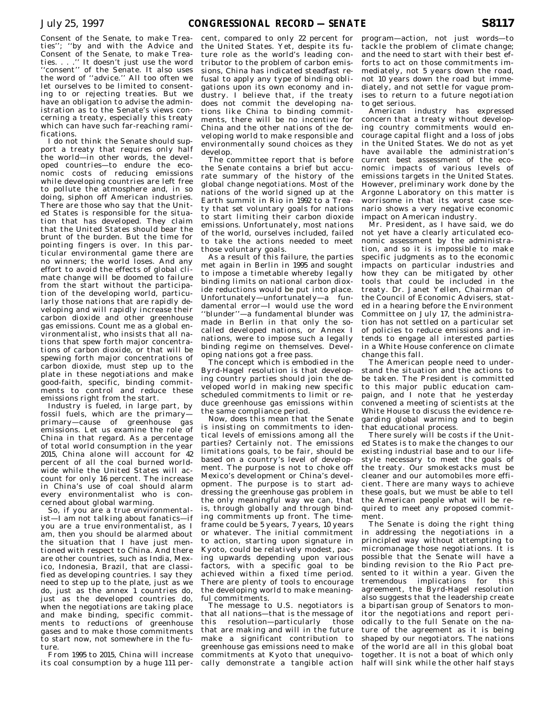Consent of the Senate, to make Treaties''; ''by and with the Advice and Consent of the Senate, to make Treaties. . . .'' It doesn't just use the word ''consent'' of the Senate. It also uses the word of ''advice.'' All too often we let ourselves to be limited to consenting to or rejecting treaties. But we have an obligation to advise the administration as to the Senate's views concerning a treaty, especially this treaty which can have such far-reaching ramifications.

I do not think the Senate should support a treaty that requires only half the world—in other words, the developed countries—to endure the economic costs of reducing emissions while developing countries are left free to pollute the atmosphere and, in so doing, siphon off American industries. There are those who say that the United States is responsible for the situation that has developed. They claim that the United States should bear the brunt of the burden. But the time for pointing fingers is over. In this particular environmental game there are no winners; the world loses. And any effort to avoid the effects of global climate change will be doomed to failure from the start without the participation of the developing world, particularly those nations that are rapidly developing and will rapidly increase their carbon dioxide and other greenhouse gas emissions. Count me as a global environmentalist, who insists that all nations that spew forth major concentrations of carbon dioxide, or that will be spewing forth major concentrations of carbon dioxide, must step up to the plate in these negotiations and make good-faith, specific, binding commitments to control and reduce these emissions right from the start.

Industry is fueled, in large part, by fossil fuels, which are the primary primary—cause of greenhouse gas emissions. Let us examine the role of China in that regard. As a percentage of total world consumption in the year 2015, China alone will account for 42 percent of all the coal burned worldwide while the United States will account for only 16 percent. The increase in China's use of coal should alarm every environmentalist who is concerned about global warming.

So, if you are a true environmentalist—I am not talking about fanatics—if you are a true environmentalist, as I am, then you should be alarmed about the situation that I have just mentioned with respect to China. And there are other countries, such as India, Mexico, Indonesia, Brazil, that are classified as developing countries. I say they need to step up to the plate, just as we do, just as the annex 1 countries do, just as the developed countries do, when the negotiations are taking place and make binding, specific commitments to reductions of greenhouse gases and to make those commitments to start now, not somewhere in the future.

From 1995 to 2015, China will increase its coal consumption by a huge 111 per-

cent, compared to only 22 percent for the United States. Yet, despite its future role as the world's leading contributor to the problem of carbon emissions, China has indicated steadfast refusal to apply any type of binding obligations upon its own economy and industry. I believe that, if the treaty does not commit the developing nations like China to binding commitments, there will be no incentive for China and the other nations of the developing world to make responsible and environmentally sound choices as they develop.

The committee report that is before the Senate contains a brief but accurate summary of the history of the global change negotiations. Most of the nations of the world signed up at the Earth summit in Rio in 1992 to a Treaty that set voluntary goals for nations to start limiting their carbon dioxide emissions. Unfortunately, most nations of the world, ourselves included, failed to take the actions needed to meet those voluntary goals.

As a result of this failure, the parties met again in Berlin in 1995 and sought to impose a timetable whereby legally binding limits on national carbon dioxide reductions would be put into place. Unfortunately—unfortunately—a fundamental error—I would use the word ''blunder''—a fundamental blunder was made in Berlin in that only the socalled developed nations, or Annex I nations, were to impose such a legally binding regime on themselves. Developing nations got a free pass.

The concept which is embodied in the Byrd-Hagel resolution is that developing country parties should join the developed world in making new specific scheduled commitments to limit or reduce greenhouse gas emissions within the same compliance period.

Now, does this mean that the Senate is insisting on commitments to identical levels of emissions among all the parties? Certainly not. The emissions limitations goals, to be fair, should be based on a country's level of development. The purpose is not to choke off Mexico's development or China's development. The purpose is to start addressing the greenhouse gas problem in the only meaningful way we can, that is, through globally and through binding commitments up front. The timeframe could be 5 years, 7 years, 10 years or whatever. The initial commitment to action, starting upon signature in Kyoto, could be relatively modest, pacing upwards depending upon various factors, with a specific goal to be achieved within a fixed time period. There are plenty of tools to encourage the developing world to make meaningful commitments.

The message to U.S. negotiators is that all nations—that is the message of this resolution—particularly those that are making and will in the future make a significant contribution to greenhouse gas emissions need to make commitments at Kyoto that unequivocally demonstrate a tangible action

program—action, not just words—to tackle the problem of climate change; and the need to start with their best efforts to act on those commitments immediately, not 5 years down the road, not 10 years down the road but immediately, and not settle for vague promises to return to a future negotiation to get serious.

American industry has expressed concern that a treaty without developing country commitments would encourage capital flight and a loss of jobs in the United States. We do not as yet have available the administration's current best assessment of the economic impacts of various levels of emissions targets in the United States. However, preliminary work done by the Argonne Laboratory on this matter is worrisome in that its worst case scenario shows a very negative economic impact on American industry.

Mr. President, as I have said, we do not yet have a clearly articulated economic assessment by the administration, and so it is impossible to make specific judgments as to the economic impacts on particular industries and how they can be mitigated by other tools that could be included in the treaty. Dr. Janet Yellen, Chairman of the Council of Economic Advisers, stated in a hearing before the Environment Committee on July 17, the administration has not settled on a particular set of policies to reduce emissions and intends to engage all interested parties in a White House conference on climate change this fall.

The American people need to understand the situation and the actions to be taken. The President is committed to this major public education campaign, and I note that he yesterday convened a meeting of scientists at the White House to discuss the evidence regarding global warming and to begin that educational process.

There surely will be costs if the United States is to make the changes to our existing industrial base and to our lifestyle necessary to meet the goals of the treaty. Our smokestacks must be cleaner and our automobiles more efficient. There are many ways to achieve these goals, but we must be able to tell the American people what will be required to meet any proposed commitment.

The Senate is doing the right thing in addressing the negotiations in a principled way without attempting to micromanage those negotiations. It is possible that the Senate will have a binding revision to the Rio Pact presented to it within a year. Given the tremendous implications for this agreement, the Byrd-Hagel resolution also suggests that the leadership create a bipartisan group of Senators to monitor the negotiations and report periodically to the full Senate on the nature of the agreement as it is being shaped by our negotiators. The nations of the world are all in this global boat together. It is not a boat of which only half will sink while the other half stays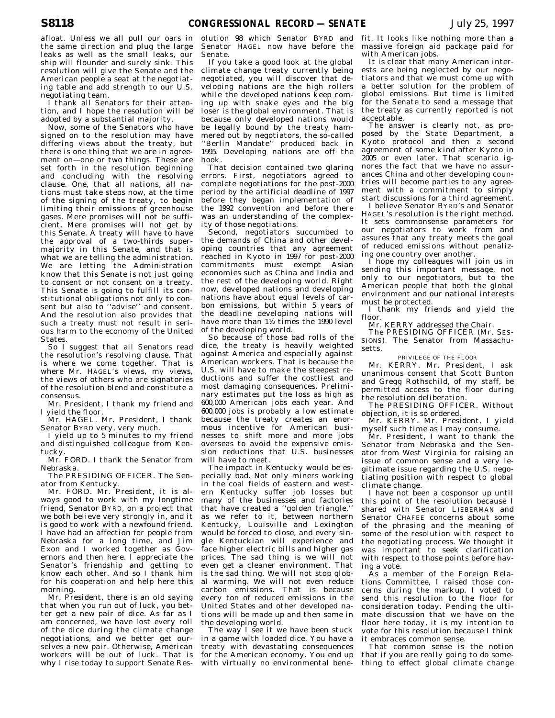afloat. Unless we all pull our oars in the same direction and plug the large leaks as well as the small leaks, our ship will flounder and surely sink. This resolution will give the Senate and the American people a seat at the negotiating table and add strength to our U.S. negotiating team.

I thank all Senators for their attention, and I hope the resolution will be adopted by a substantial majority.

Now, some of the Senators who have signed on to the resolution may have differing views about the treaty, but there is one thing that we are in agreement on—one or two things. These are set forth in the resolution beginning and concluding with the resolving clause. One, that all nations, all nations must take steps now, at the time of the signing of the treaty, to begin limiting their emissions of greenhouse gases. Mere promises will not be sufficient. Mere promises will not get by this Senate. A treaty will have to have the approval of a two-thirds supermajority in this Senate, and that is what we are telling the administration. We are letting the Administration know that this Senate is not just going to consent or not consent on a treaty. This Senate is going to fulfill its constitutional obligations not only to consent but also to ''advise'' and consent. And the resolution also provides that such a treaty must not result in serious harm to the economy of the United States.

So I suggest that all Senators read the resolution's resolving clause. That is where we come together. That is where Mr. HAGEL's views, my views. the views of others who are signatories of the resolution blend and constitute a consensus.

Mr. President, I thank my friend and I yield the floor.

Mr. HAGEL. Mr. President, I thank Senator BYRD very, very much.

I yield up to 5 minutes to my friend and distinguished colleague from Kentucky.

Mr. FORD. I thank the Senator from Nebraska.

The PRESIDING OFFICER. The Senator from Kentucky.

Mr. FORD. Mr. President, it is always good to work with my longtime friend, Senator BYRD, on a project that we both believe very strongly in, and it is good to work with a newfound friend. I have had an affection for people from Nebraska for a long time, and Jim Exon and I worked together as Governors and then here. I appreciate the Senator's friendship and getting to know each other. And so I thank him for his cooperation and help here this morning.

Mr. President, there is an old saying that when you run out of luck, you better get a new pair of dice. As far as I am concerned, we have lost every roll of the dice during the climate change negotiations, and we better get ourselves a new pair. Otherwise, American workers will be out of luck. That is why I rise today to support Senate Res-

olution 98 which Senator BYRD and Senator HAGEL now have before the Senate.

If you take a good look at the global climate change treaty currently being negotiated, you will discover that developing nations are the high rollers while the developed nations keep coming up with snake eyes and the big loser is the global environment. That is because only developed nations would be legally bound by the treaty hammered out by negotiators, the so-called ''Berlin Mandate'' produced back in 1995. Developing nations are off the hook.

That decision contained two glaring errors. First, negotiators agreed to complete negotiations for the post-2000 period by the artificial deadline of 1997 before they began implementation of the 1992 convention and before there was an understanding of the complexity of those negotiations.

Second, negotiators succumbed to the demands of China and other developing countries that any agreement reached in Kyoto in 1997 for post-2000 commitments must exempt Asian economies such as China and India and the rest of the developing world. Right now, developed nations and developing nations have about equal levels of carbon emissions, but within 5 years of the deadline developing nations will have more than 1<sup>1/2</sup> times the 1990 level of the developing world.

So because of those bad rolls of the dice, the treaty is heavily weighted against America and especially against American workers. That is because the U.S. will have to make the steepest reductions and suffer the costliest and most damaging consequences. Preliminary estimates put the loss as high as 600,000 American jobs each year. And 600,000 jobs is probably a low estimate because the treaty creates an enormous incentive for American businesses to shift more and more jobs overseas to avoid the expensive emission reductions that U.S. businesses will have to meet.

The impact in Kentucky would be especially bad. Not only miners working in the coal fields of eastern and western Kentucky suffer job losses but many of the businesses and factories that have created a ''golden triangle,'' as we refer to it, between northern Kentucky, Louisville and Lexington would be forced to close, and every single Kentuckian will experience and face higher electric bills and higher gas prices. The sad thing is we will not even get a cleaner environment. That is the sad thing. We will not stop global warming. We will not even reduce carbon emissions. That is because every ton of reduced emissions in the United States and other developed nations will be made up and then some in the developing world.

The way I see it we have been stuck in a game with loaded dice. You have a treaty with devastating consequences for the American economy. You end up with virtually no environmental bene-

fit. It looks like nothing more than a massive foreign aid package paid for with American jobs.

It is clear that many American interests are being neglected by our negotiators and that we must come up with a better solution for the problem of global emissions. But time is limited for the Senate to send a message that the treaty as currently reported is not acceptable.

The answer is clearly not, as proposed by the State Department, a Kyoto protocol and then a second agreement of some kind after Kyoto in 2005 or even later. That scenario ignores the fact that we have no assurances China and other developing countries will become parties to any agreement with a commitment to simply start discussions for a third agreement.

I believe Senator BYRD's and Senator HAGEL's resolution is the right method. It sets commonsense parameters for our negotiators to work from and assures that any treaty meets the goal of reduced emissions without penalizing one country over another.

I hope my colleagues will join us in sending this important message, not only to our negotiators, but to the American people that both the global environment and our national interests must be protected.

I thank my friends and yield the floor.

Mr. KERRY addressed the Chair.

The PRESIDING OFFICER (Mr. SES-SIONS). The Senator from Massachusetts.

PRIVILEGE OF THE FLOOR

Mr. KERRY. Mr. President, I ask unanimous consent that Scott Bunton and Gregg Rothschild, of my staff, be permitted access to the floor during the resolution deliberation.

The PRESIDING OFFICER. Without objection, it is so ordered.

Mr. KERRY. Mr. President, I yield myself such time as I may consume.

Mr. President, I want to thank the Senator from Nebraska and the Senator from West Virginia for raising an issue of common sense and a very legitimate issue regarding the U.S. negotiating position with respect to global climate change.

I have not been a cosponsor up until this point of the resolution because I shared with Senator LIEBERMAN and Senator CHAFEE concerns about some of the phrasing and the meaning of some of the resolution with respect to the negotiating process. We thought it was important to seek clarification with respect to those points before having a vote.

As a member of the Foreign Relations Committee, I raised those concerns during the markup. I voted to send this resolution to the floor for consideration today. Pending the ultimate discussion that we have on the floor here today, it is my intention to vote for this resolution because I think it embraces common sense.

That common sense is the notion that if you are really going to do something to effect global climate change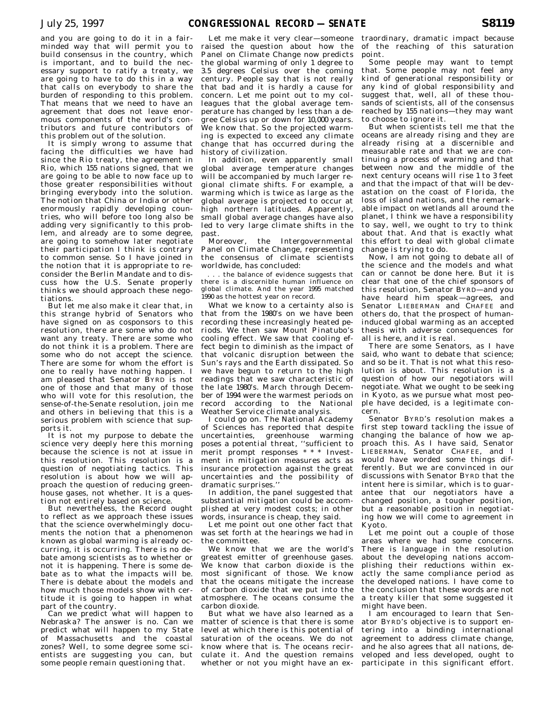and you are going to do it in a fairminded way that will permit you to build consensus in the country, which is important, and to build the necessary support to ratify a treaty, we are going to have to do this in a way that calls on everybody to share the burden of responding to this problem. That means that we need to have an agreement that does not leave enormous components of the world's contributors and future contributors of this problem out of the solution.

It is simply wrong to assume that facing the difficulties we have had since the Rio treaty, the agreement in Rio, which 155 nations signed, that we are going to be able to now face up to those greater responsibilities without bringing everybody into the solution. The notion that China or India or other enormously rapidly developing countries, who will before too long also be adding very significantly to this problem, and already are to some degree, are going to somehow later negotiate their participation I think is contrary to common sense. So I have joined in the notion that it is appropriate to reconsider the Berlin Mandate and to discuss how the U.S. Senate properly thinks we should approach these negotiations.

But let me also make it clear that, in this strange hybrid of Senators who have signed on as cosponsors to this resolution, there are some who do not want any treaty. There are some who do not think it is a problem. There are some who do not accept the science. There are some for whom the effort is one to really have nothing happen. I am pleased that Senator BYRD is not one of those and that many of those who will vote for this resolution, the sense-of-the-Senate resolution, join me and others in believing that this is a serious problem with science that supports it.

It is not my purpose to debate the science very deeply here this morning because the science is not at issue in this resolution. This resolution is a question of negotiating tactics. This resolution is about how we will approach the question of reducing greenhouse gases, not whether. It is a question not entirely based on science.

But nevertheless, the Record ought to reflect as we approach these issues that the science overwhelmingly documents the notion that a phenomenon known as global warming is already occurring, it is occurring. There is no debate among scientists as to whether or not it is happening. There is some debate as to what the impacts will be. There is debate about the models and how much those models show with certitude it is going to happen in what part of the country.

Can we predict what will happen to Nebraska? The answer is no. Can we predict what will happen to my State of Massachusetts and the coastal zones? Well, to some degree some scientists are suggesting you can, but some people remain questioning that.

Let me make it very clear—someone raised the question about how the Panel on Climate Change now predicts the global warming of only 1 degree to 3.5 degrees Celsius over the coming century. People say that is not really that bad and it is hardly a cause for concern. Let me point out to my colleagues that the global average temperature has changed by less than a degree Celsius up or down for 10,000 years. We know that. So the projected warming is expected to exceed any climate change that has occurred during the history of civilization.

In addition, even apparently small global average temperature changes will be accompanied by much larger regional climate shifts. For example, a warming which is twice as large as the global average is projected to occur at high northern latitudes. Apparently, small global average changes have also led to very large climate shifts in the past.

Moreover, the Intergovernmental Panel on Climate Change, representing the consensus of climate scientists worldwide, has concluded:

. . . the balance of evidence suggests that there is a discernible human influence on global climate. And the year 1995 matched 1990 as the hottest year on record.

What we know to a certainty also is that from the 1980's on we have been recording these increasingly heated periods. We then saw Mount Pinatubo's cooling effect. We saw that cooling effect begin to diminish as the impact of that volcanic disruption between the Sun's rays and the Earth dissipated. So we have begun to return to the high readings that we saw characteristic of the late 1980's. March through December of 1994 were the warmest periods on record according to the National Weather Service climate analysis.

I could go on. The National Academy of Sciences has reported that despite uncertainties, greenhouse warming poses a potential threat, ''sufficient to merit prompt responses \* \* \* Investment in mitigation measures acts as insurance protection against the great uncertainties and the possibility of dramatic surprises.''

In addition, the panel suggested that substantial mitigation could be accomplished at very modest costs; in other words, insurance is cheap, they said.

Let me point out one other fact that was set forth at the hearings we had in the committee.

We know that we are the world's greatest emitter of greenhouse gases. We know that carbon dioxide is the most significant of those. We know that the oceans mitigate the increase of carbon dioxide that we put into the atmosphere. The oceans consume the carbon dioxide.

But what we have also learned as a matter of science is that there is some level at which there is this potential of saturation of the oceans. We do not know where that is. The oceans recirculate it. And the question remains whether or not you might have an ex-

traordinary, dramatic impact because of the reaching of this saturation point.

Some people may want to tempt that. Some people may not feel any kind of generational responsibility or any kind of global responsibility and suggest that, well, all of these thousands of scientists, all of the consensus reached by 155 nations—they may want to choose to ignore it.

But when scientists tell me that the oceans are already rising and they are already rising at a discernible and measurable rate and that we are continuing a process of warming and that between now and the middle of the next century oceans will rise 1 to 3 feet and that the impact of that will be devastation on the coast of Florida, the loss of island nations, and the remarkable impact on wetlands all around the planet, I think we have a responsibility to say, well, we ought to try to think about that. And that is exactly what this effort to deal with global climate change is trying to do.

Now, I am not going to debate all of the science and the models and what can or cannot be done here. But it is clear that one of the chief sponsors of this resolution, Senator BYRD—and you have heard him speak—agrees, and Senator LIEBERMAN and CHAFEE and others do, that the prospect of humaninduced global warming as an accepted thesis with adverse consequences for all is here, and it is real.

There are some Senators, as I have said, who want to debate that science; and so be it. That is not what this resolution is about. This resolution is a question of how our negotiators will negotiate. What we ought to be seeking in Kyoto, as we pursue what most people have decided, is a legitimate concern.

Senator BYRD's resolution makes a first step toward tackling the issue of changing the balance of how we approach this. As I have said, Senator LIEBERMAN, Senator CHAFEE, and I would have worded some things differently. But we are convinced in our discussions with Senator BYRD that the intent here is similar, which is to guarantee that our negotiators have a changed position, a tougher position, but a reasonable position in negotiating how we will come to agreement in Kyoto.

Let me point out a couple of those areas where we had some concerns. There is language in the resolution about the developing nations accomplishing their reductions within exactly the same compliance period as the developed nations. I have come to the conclusion that these words are not a treaty killer that some suggested it might have been.

I am encouraged to learn that Senator BYRD's objective is to support entering into a binding international agreement to address climate change, and he also agrees that all nations, developed and less developed, ought to participate in this significant effort.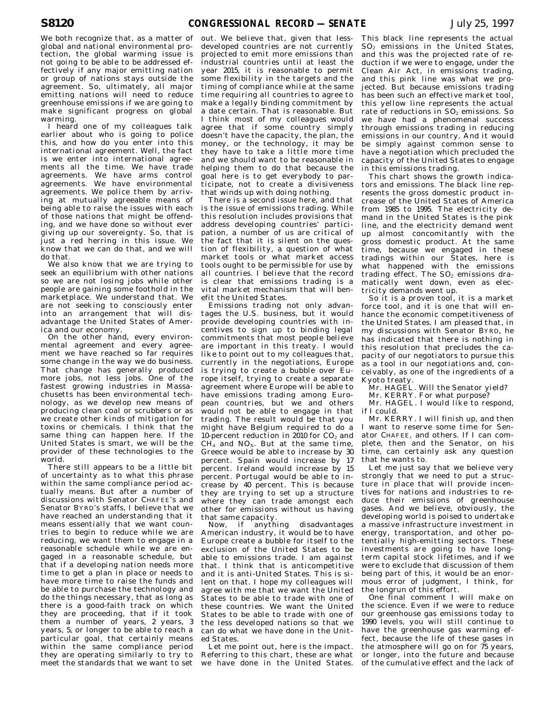We both recognize that, as a matter of global and national environmental protection, the global warming issue is not going to be able to be addressed effectively if any major emitting nation or group of nations stays outside the agreement. So, ultimately, all major emitting nations will need to reduce greenhouse emissions if we are going to make significant progress on global warming.

I heard one of my colleagues talk earlier about who is going to police this, and how do you enter into this international agreement. Well, the fact is we enter into international agreements all the time. We have trade agreements. We have arms control agreements. We have environmental agreements. We police them by arriving at mutually agreeable means of being able to raise the issues with each of those nations that might be offending, and we have done so without ever giving up our sovereignty. So, that is just a red herring in this issue. We know that we can do that, and we will do that.

We also know that we are trying to seek an equilibrium with other nations so we are not losing jobs while other people are gaining some foothold in the marketplace. We understand that. We are not seeking to consciously enter into an arrangement that will disadvantage the United States of America and our economy.

On the other hand, every environmental agreement and every agreement we have reached so far requires some change in the way we do business. That change has generally produced more jobs, not less jobs. One of the fastest growing industries in Massachusetts has been environmental technology, as we develop new means of producing clean coal or scrubbers or as we create other kinds of mitigation for toxins or chemicals. I think that the same thing can happen here. If the United States is smart, we will be the provider of these technologies to the world.

There still appears to be a little bit of uncertainty as to what this phrase within the same compliance period actually means. But after a number of discussions with Senator CHAFEE's and Senator BYRD's staffs, I believe that we have reached an understanding that it means essentially that we want countries to begin to reduce while we are reducing, we want them to engage in a reasonable schedule while we are engaged in a reasonable schedule, but that if a developing nation needs more time to get a plan in place or needs to have more time to raise the funds and be able to purchase the technology and do the things necessary, that as long as there is a good-faith track on which they are proceeding, that if it took them a number of years, 2 years, 3 years, 5, or longer to be able to reach a particular goal, that certainly means within the same compliance period they are operating similarly to try to meet the standards that we want to set

out. We believe that, given that lessdeveloped countries are not currently projected to emit more emissions than industrial countries until at least the year 2015, it is reasonable to permit some flexibility in the targets and the timing of compliance while at the same time requiring all countries to agree to make a legally binding commitment by a date certain. That is reasonable. But I think most of my colleagues would agree that if some country simply doesn't have the capacity, the plan, the money, or the technology, it may be they have to take a little more time and we should want to be reasonable in helping them to do that because the goal here is to get everybody to participate, not to create a divisiveness that winds up with doing nothing.

There is a second issue here, and that is the issue of emissions trading. While this resolution includes provisions that address developing countries' participation, a number of us are critical of the fact that it is silent on the question of flexibility, a question of what market tools or what market access tools ought to be permissible for use by all countries. I believe that the record is clear that emissions trading is a vital market mechanism that will benefit the United States.

Emissions trading not only advantages the U.S. business, but it would provide developing countries with incentives to sign up to binding legal commitments that most people believe are important in this treaty. I would like to point out to my colleagues that, currently in the negotiations, Europe is trying to create a bubble over Europe itself, trying to create a separate agreement where Europe will be able to have emissions trading among European countries, but we and others would not be able to engage in that trading. The result would be that you might have Belgium required to do a 10-percent reduction in  $2010$  for  $CO<sub>2</sub>$  and  $CH<sub>4</sub>$  and NO<sub>X</sub>. But at the same time, Greece would be able to increase by 30 percent. Spain would increase by 17 percent. Ireland would increase by 15 percent. Portugal would be able to increase by 40 percent. This is because they are trying to set up a structure where they can trade amongst each other for emissions without us having that same capacity.

Now, if anything disadvantages American industry, it would be to have Europe create a bubble for itself to the exclusion of the United States to be able to emissions trade. I am against that. I think that is anticompetitive and it is anti-United States. This is silent on that. I hope my colleagues will agree with me that we want the United States to be able to trade with one of these countries. We want the United States to be able to trade with one of the less developed nations so that we can do what we have done in the United States.

Let me point out, here is the impact. Referring to this chart, these are what we have done in the United States.

This black line represents the actual SO2 emissions in the United States, and this was the projected rate of reduction if we were to engage, under the Clean Air Act, in emissions trading, and this pink line was what we projected. But because emissions trading has been such an effective market tool, this yellow line represents the actual rate of reductions in  $SO<sub>2</sub>$  emissions. So we have had a phenomenal success through emissions trading in reducing emissions in our country. And it would be simply against common sense to have a negotiation which precluded the capacity of the United States to engage in this emissions trading.

This chart shows the growth indicators and emissions. The black line represents the gross domestic product increase of the United States of America from 1985 to 1995. The electricity demand in the United States is the pink line, and the electricity demand went up almost concomitantly with the gross domestic product. At the same time, because we engaged in these tradings within our States, here is what happened with the emissions trading effect. The  $SO<sub>2</sub>$  emissions dramatically went down, even as electricity demands went up.

So it is a proven tool, it is a market force tool, and it is one that will enhance the economic competitiveness of the United States. I am pleased that, in my discussions with Senator BYRD, he has indicated that there is nothing in this resolution that precludes the capacity of our negotiators to pursue this as a tool in our negotiations and, conceivably, as one of the ingredients of a Kyoto treaty.

Mr. HAGEL. Will the Senator yield?

Mr. KERRY. For what purpose?

Mr. HAGEL. I would like to respond, if I could.

Mr. KERRY. I will finish up, and then I want to reserve some time for Senator CHAFEE, and others. If I can complete, then and the Senator, on his time, can certainly ask any question that he wants to.

Let me just say that we believe very strongly that we need to put a structure in place that will provide incentives for nations and industries to reduce their emissions of greenhouse gases. And we believe, obviously, the developing world is poised to undertake a massive infrastructure investment in energy, transportation, and other potentially high-emitting sectors. These investments are going to have longterm capital stock lifetimes, and if we were to exclude that discussion of them being part of this, it would be an enormous error of judgment, I think, for the longrun of this effort.

One final comment I will make on the science. Even if we were to reduce our greenhouse gas emissions today to 1990 levels, you will still continue to have the greenhouse gas warming effect, because the life of these gases in the atmosphere will go on for 75 years, or longer, into the future and because of the cumulative effect and the lack of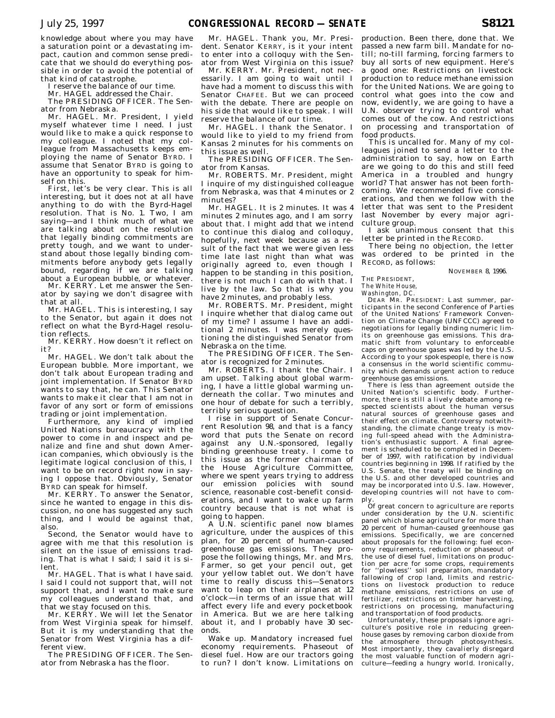knowledge about where you may have a saturation point or a devastating impact, caution and common sense predicate that we should do everything possible in order to avoid the potential of that kind of catastrophe.

I reserve the balance of our time.

Mr. HAGEL addressed the Chair.

The PRESIDING OFFICER. The Senator from Nebraska.

Mr. HAGEL. Mr. President, I yield myself whatever time I need. I just would like to make a quick response to my colleague. I noted that my colleague from Massachusetts keeps employing the name of Senator BYRD. I assume that Senator BYRD is going to have an opportunity to speak for himself on this.

First, let's be very clear. This is all interesting, but it does not at all have anything to do with the Byrd-Hagel resolution. That is No. 1. Two, I am saying—and I think much of what we are talking about on the resolution that legally binding commitments are pretty tough, and we want to understand about those legally binding commitments before anybody gets legally bound, regarding if we are talking about a European bubble, or whatever. Mr. KERRY. Let me answer the Sen-

ator by saying we don't disagree with that at all. Mr. HAGEL. This is interesting, I say

to the Senator, but again it does not reflect on what the Byrd-Hagel resolution reflects.

Mr. KERRY. How doesn't it reflect on it?

Mr. HAGEL. We don't talk about the European bubble. More important, we don't talk about European trading and joint implementation. If Senator BYRD wants to say that, he can. This Senator wants to make it clear that I am not in favor of any sort or form of emissions trading or joint implementation.

Furthermore, any kind of implied United Nations bureaucracy with the power to come in and inspect and penalize and fine and shut down American companies, which obviously is the legitimate logical conclusion of this, I want to be on record right now in saying I oppose that. Obviously, Senator BYRD can speak for himself.

Mr. KERRY. To answer the Senator, since he wanted to engage in this discussion, no one has suggested any such thing, and I would be against that, also.

Second, the Senator would have to agree with me that this resolution is silent on the issue of emissions trading. That is what I said; I said it is silent.

Mr. HAGEL. That is what I have said. I said I could not support that, will not support that, and I want to make sure my colleagues understand that, and that we stay focused on this.

Mr. KERRY. We will let the Senator from West Virginia speak for himself. But it is my understanding that the Senator from West Virginia has a different view.

The PRESIDING OFFICER. The Senator from Nebraska has the floor.

Mr. HAGEL. Thank you, Mr. President. Senator KERRY, is it your intent to enter into a colloquy with the Senator from West Virginia on this issue?

Mr. KERRY. Mr. President, not necessarily. I am going to wait until I have had a moment to discuss this with Senator CHAFEE. But we can proceed with the debate. There are people on his side that would like to speak. I will reserve the balance of our time.

Mr. HAGEL. I thank the Senator. I would like to yield to my friend from Kansas 2 minutes for his comments on this issue as well.

The PRESIDING OFFICER. The Senator from Kansas.

Mr. ROBERTS. Mr. President, might I inquire of my distinguished colleague from Nebraska, was that 4 minutes or 2 minutes?

Mr. HAGEL. It is 2 minutes. It was 4 minutes 2 minutes ago, and I am sorry about that. I might add that we intend to continue this dialog and colloquy, hopefully, next week because as a result of the fact that we were given less time late last night than what was originally agreed to, even though I happen to be standing in this position, there is not much I can do with that. I live by the law. So that is why you have 2 minutes, and probably less.

Mr. ROBERTS. Mr. President, might I inquire whether that dialog came out of my time? I assume I have an additional 2 minutes. I was merely questioning the distinguished Senator from Nebraska on the time.

The PRESIDING OFFICER. The Senator is recognized for 2 minutes.

Mr. ROBERTS. I thank the Chair. I am upset. Talking about global warming, I have a little global warming underneath the collar. Two minutes and one hour of debate for such a terribly, terribly serious question.

I rise in support of Senate Concurrent Resolution 98, and that is a fancy word that puts the Senate on record against any U.N.-sponsored, legally binding greenhouse treaty. I come to this issue as the former chairman of the House Agriculture Committee, where we spent years trying to address our emission policies with sound science, reasonable cost-benefit considerations, and I want to wake up farm country because that is not what is going to happen.

A U.N. scientific panel now blames agriculture, under the auspices of this plan, for 20 percent of human-caused greenhouse gas emissions. They propose the following things, Mr. and Mrs. Farmer, so get your pencil out, get your yellow tablet out. We don't have time to really discuss this—Senators want to leap on their airplanes at 12 o'clock—in terms of an issue that will affect every life and every pocketbook in America. But we are here talking about it, and I probably have 30 seconds.

Wake up. Mandatory increased fuel economy requirements. Phaseout of diesel fuel. How are our tractors going to run? I don't know. Limitations on

production. Been there, done that. We passed a new farm bill. Mandate for notill; no-till farming, forcing farmers to buy all sorts of new equipment. Here's a good one: Restrictions on livestock production to reduce methane emission for the United Nations. We are going to control what goes into the cow and now, evidently, we are going to have a U.N. observer trying to control what comes out of the cow. And restrictions on processing and transportation of food products.

This is uncalled for. Many of my colleagues joined to send a letter to the administration to say, how on Earth are we going to do this and still feed America in a troubled and hungry world? That answer has not been forthcoming. We recommended five considerations, and then we follow with the letter that was sent to the President last November by every major agriculture group.

I ask unanimous consent that this letter be printed in the RECORD.

There being no objection, the letter was ordered to be printed in the RECORD, as follows:

NOVEMBER 8, 1996.

THE PRESIDENT, *The White House,*

*Washington, DC.*

DEAR MR. PRESIDENT: Last summer, participants in the second Conference of Parties of the United Nations' Framework Convention on Climate Change (UNFCCC) agreed to negotiations for legally binding numeric limits on greenhouse gas emissions. This dra-matic shift from voluntary to enforceable caps on greenhouse gases was led by the U.S. According to your spokespeople, there is now a consensus in the world scientific community which demands urgent action to reduce

greenhouse gas emissions. There is less than agreement outside the United Nation's scientific body. Furthermore, there is still a lively debate among respected scientists about the human versus natural sources of greenhouse gases and their effect on climate. Controversy notwithstanding, the climate change treaty is moving full-speed ahead with the Administration's enthusiastic support. A final agreement is scheduled to be completed in December of 1997, with ratification by individual countries beginning in 1998. If ratified by the U.S. Senate, the treaty will be binding on the U.S. and other developed countries and may be incorporated into  $\hat{U}$ .S. law. However, developing countries will not have to com-

ply. Of great concern to agriculture are reports under consideration by the U.N. scientific panel which blame agriculture for more than 20 percent of human-caused greenhouse gas emissions. Specifically, we are concerned about proposals for the following: fuel economy requirements, reduction or phaseout of the use of diesel fuel, limitations on production per acre for some crops, requirements for ''plowless'' soil preparation, mandatory fallowing of crop land, limits and restrictions on livestock production to reduce methane emissions, restrictions on use of fertilizer, restrictions on timber harvesting, restrictions on processing, manufacturing and transportation of food products.

Unfortunately, these proposals ignore agriculture's positive role in reducing greenhouse gases by removing carbon dioxide from the atmosphere through photosynthesis. Most importantly, they cavalierly disregard the most valuable function of modern agriculture—feeding a hungry world. Ironically,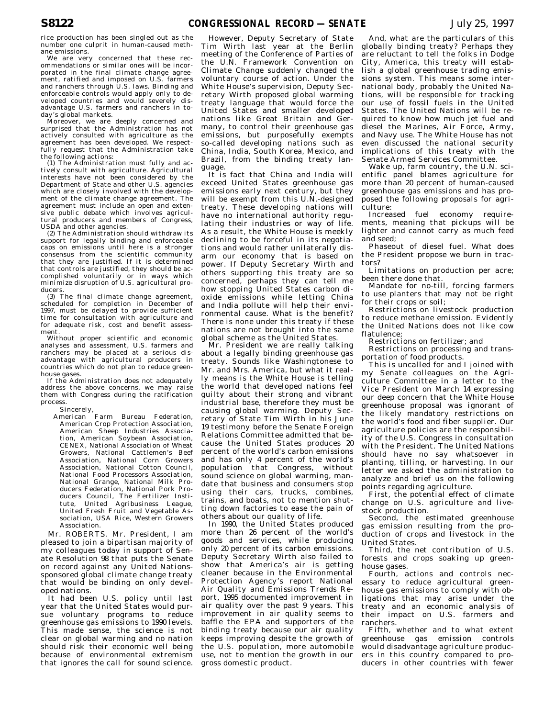rice production has been singled out as the number one culprit in human-caused methane emissions.

We are very concerned that these recommendations or similar ones will be incorporated in the final climate change agreement, ratified and imposed on U.S. farmers and ranchers through U.S. laws. Binding and enforceable controls would apply only to developed countries and would severely disadvantage U.S. farmers and ranchers in today's global markets.

Moreover, we are deeply concerned and surprised that the Administration has not actively consulted with agriculture as the agreement has been developed. We respectfully request that the Administration take

the following actions: (1) The Administration must fully and actively consult with agriculture. Agricultural interests have not been considered by the Department of State and other U.S. agencies which are closely involved with the development of the climate change agreement. The agreement must include an open and extensive public debate which involves agricultural producers and members of Congress, USDA and other agencies.

(2) The Administration should withdraw its support for legally binding and enforceable cans on emissions until here is a stronger consensus from the scientific community that they are justified. If it is determined that controls are justified, they should be accomplished voluntarily or in ways which minimize disruption of U.S. agricultural producers.

...<br>The final climate change agreement, scheduled for completion in December of 1997, must be delayed to provide sufficient time for consultation with agriculture and for adequate risk, cost and benefit assessment.

Without proper scientific and economic analyses and assessment, U.S. farmers and ranchers may be placed at a serious disadvantage with agricultural producers in countries which do not plan to reduce greenhouse gases. If the Administration does not adequately

address the above concerns, we may raise them with Congress during the ratification process.

Sincerely,

American Farm Bureau Federation, American Crop Protection Association, American Sheep Industries Association, American Soybean Association, CENEX, National Association of Wheat Growers, National Cattlemen's Beef Association, National Corn Growers Association, National Cotton Council, National Food Processors Association, National Grange, National Milk Producers Federation, National Pork Producers Council, The Fertilizer Institute, United Agribusiness League, United Fresh Fruit and Vegetable Association, USA Rice, Western Growers Association.

Mr. ROBERTS. Mr. President, I am pleased to join a bipartisan majority of my colleagues today in support of Senate Resolution 98 that puts the Senate on record against any United Nationssponsored global climate change treaty that would be binding on only developed nations.

It had been U.S. policy until last year that the United States would pursue voluntary programs to reduce greenhouse gas emissions to 1990 levels. This made sense, the science is not clear on global warming and no nation should risk their economic well being because of environmental extremism that ignores the call for sound science.

However, Deputy Secretary of State Tim Wirth last year at the Berlin meeting of the Conference of Parties of the U.N. Framework Convention on Climate Change suddenly changed the voluntary course of action. Under the White House's supervision, Deputy Secretary Wirth proposed global warming treaty language that would force the United States and smaller developed nations like Great Britain and Germany, to control their greenhouse gas emissions, but purposefully exempts so-called developing nations such as China, India, South Korea, Mexico, and Brazil, from the binding treaty language.

It is fact that China and India will exceed United States greenhouse gas emissions early next century, but they will be exempt from this U.N.-designed treaty. These developing nations will have no international authority regulating their industries or way of life. As a result, the White House is meekly declining to be forceful in its negotiations and would rather unilaterally disarm our economy that is based on power. If Deputy Secretary Wirth and others supporting this treaty are so concerned, perhaps they can tell me how stopping United States carbon dioxide emissions while letting China and India pollute will help their environmental cause. What is the benefit? There is none under this treaty if these nations are not brought into the same global scheme as the United States.

Mr. President we are really talking about a legally binding greenhouse gas treaty. Sounds like Washingtonese to Mr. and Mrs. America, but what it really means is the White House is telling the world that developed nations feel guilty about their strong and vibrant industrial base, therefore they must be causing global warming. Deputy Secretary of State Tim Wirth in his June 19 testimony before the Senate Foreign Relations Committee admitted that because the United States produces 20 percent of the world's carbon emissions and has only 4 percent of the world's population that Congress, without sound science on global warming, mandate that business and consumers stop using their cars, trucks, combines, trains, and boats, not to mention shutting down factories to ease the pain of others about our quality of life.

In 1990, the United States produced more than 26 percent of the world's goods and services, while producing only 20 percent of its carbon emissions. Deputy Secretary Wirth also failed to show that America's air is getting cleaner because in the Environmental Protection Agency's report National Air Quality and Emissions Trends Report, 1995 documented improvement in air quality over the past 9 years. This improvement in air quality seems to baffle the EPA and supporters of the binding treaty because our air quality keeps improving despite the growth of the U.S. population, more automobile use, not to mention the growth in our gross domestic product.

And, what are the particulars of this globally binding treaty? Perhaps they are reluctant to tell the folks in Dodge City, America, this treaty will establish a global greenhouse trading emissions system. This means some international body, probably the United Nations, will be responsible for tracking our use of fossil fuels in the United States. The United Nations will be required to know how much jet fuel and diesel the Marines, Air Force, Army, and Navy use. The White House has not even discussed the national security implications of this treaty with the Senate Armed Services Committee.

Wake up, farm country, the U.N. scientific panel blames agriculture for more than 20 percent of human-caused greenhouse gas emissions and has proposed the following proposals for agriculture:

Increased fuel economy requirements, meaning that pickups will be lighter and cannot carry as much feed and seed;

Phaseout of diesel fuel. What does the President propose we burn in tractors?

Limitations on production per acre; been there done that.

Mandate for no-till, forcing farmers to use planters that may not be right for their crops or soil:

Restrictions on livestock production to reduce methane emission. Evidently the United Nations does not like cow flatulence;

Restrictions on fertilizer; and

Restrictions on processing and transportation of food products.

This is uncalled for and I joined with my Senate colleagues on the Agriculture Committee in a letter to the Vice President on March 14 expressing our deep concern that the White House greenhouse proposal was ignorant of the likely mandatory restrictions on the world's food and fiber supplier. Our agriculture policies are the responsibility of the U.S. Congress in consultation with the President. The United Nations should have no say whatsoever in planting, tilling, or harvesting. In our letter we asked the administration to analyze and brief us on the following points regarding agriculture.

First, the potential effect of climate change on  $\dot{U}$ .S. agriculture and livestock production.

Second, the estimated greenhouse gas emission resulting from the production of crops and livestock in the United States.

Third, the net contribution of U.S. forests and crops soaking up greenhouse gases.

Fourth, actions and controls necessary to reduce agricultural greenhouse gas emissions to comply with obligations that may arise under the treaty and an economic analysis of their impact on U.S. farmers and ranchers.

Fifth, whether and to what extent greenhouse gas emission controls would disadvantage agriculture producers in this country compared to producers in other countries with fewer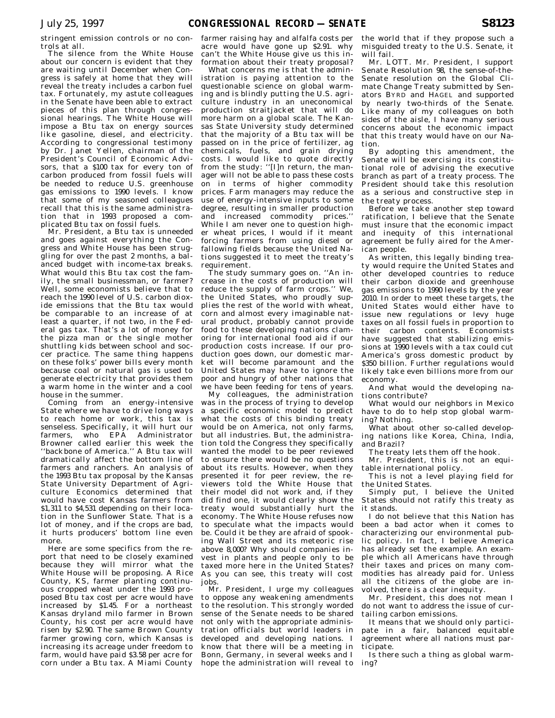stringent emission controls or no controls at all.

The silence from the White House about our concern is evident that they are waiting until December when Congress is safely at home that they will reveal the treaty includes a carbon fuel tax. Fortunately, my astute colleagues in the Senate have been able to extract pieces of this plan through congressional hearings. The White House will impose a Btu tax on energy sources like gasoline, diesel, and electricity. According to congressional testimony by Dr. Janet Yellen, chairman of the President's Council of Economic Advisors, that a \$100 tax for every ton of carbon produced from fossil fuels will be needed to reduce U.S. greenhouse gas emissions to 1990 levels. I know that some of my seasoned colleagues recall that this is the same administration that in 1993 proposed a complicated Btu tax on fossil fuels.

Mr. President, a Btu tax is unneeded and goes against everything the Congress and White House has been struggling for over the past 2 months, a balanced budget with income-tax breaks. What would this Btu tax cost the family, the small businessman, or farmer? Well, some economists believe that to reach the 1990 level of U.S. carbon dioxide emissions that the Btu tax would be comparable to an increase of at least a quarter, if not two, in the Federal gas tax. That's a lot of money for the pizza man or the single mother shuttling kids between school and soccer practice. The same thing happens on these folks' power bills every month because coal or natural gas is used to generate electricity that provides them a warm home in the winter and a cool house in the summer.

Coming from an energy-intensive State where we have to drive long ways to reach home or work, this tax is senseless. Specifically, it will hurt our farmers, who EPA Administrator Browner called earlier this week the ''backbone of America.'' A Btu tax will dramatically affect the bottom line of farmers and ranchers. An analysis of the 1993 Btu tax proposal by the Kansas State University Department of Agriculture Economics determined that would have cost Kansas farmers from \$1,311 to \$4,531 depending on their location in the Sunflower State. That is a lot of money, and if the crops are bad, it hurts producers' bottom line even more.

Here are some specifics from the report that need to be closely examined because they will mirror what the White House will be proposing. A Rice County, KS, farmer planting continuous cropped wheat under the 1993 proposed Btu tax cost per acre would have increased by \$1.45. For a northeast Kansas dryland milo farmer in Brown County, his cost per acre would have risen by \$2.90. The same Brown County farmer growing corn, which Kansas is increasing its acreage under freedom to farm, would have paid \$3.58 per acre for corn under a Btu tax. A Miami County

farmer raising hay and alfalfa costs per acre would have gone up \$2.91. why can't the White House give us this information about their treaty proposal?

What concerns me is that the administration is paying attention to the questionable science on global warming and is blindly putting the U.S. agriculture industry in an uneconomical production straitjacket that will do more harm on a global scale. The Kansas State University study determined that the majority of a Btu tax will be passed on in the price of fertilizer, ag chemicals, fuels, and grain drying costs. I would like to quote directly from the study: ''[I]n return, the manager will not be able to pass these costs on in terms of higher commodity prices. Farm managers may reduce the use of energy-intensive inputs to some degree, resulting in smaller production and increased commodity prices.'' While I am never one to question higher wheat prices, I would if it meant forcing farmers from using diesel or fallowing fields because the United Nations suggested it to meet the treaty's requirement.

The study summary goes on. ''An increase in the costs of production will reduce the supply of farm crops.'' We, the United States, who proudly supplies the rest of the world with wheat, corn and almost every imaginable natural product, probably cannot provide food to these developing nations clamoring for international food aid if our production costs increase. If our production goes down, our domestic market will become paramount and the United States may have to ignore the poor and hungry of other nations that we have been feeding for tens of years.

My colleagues, the administration was in the process of trying to develop a specific economic model to predict what the costs of this binding treaty would be on America, not only farms, but all industries. But, the administration told the Congress they specifically wanted the model to be peer reviewed to ensure there would be no questions about its results. However, when they presented it for peer review, the reviewers told the White House that their model did not work and, if they did find one, it would clearly show the treaty would substantially hurt the economy. The White House refuses now to speculate what the impacts would be. Could it be they are afraid of spooking Wall Street and its meteoric rise above 8,000? Why should companies invest in plants and people only to be taxed more here in the United States? As you can see, this treaty will cost jobs.

Mr. President, I urge my colleagues to oppose any weakening amendments to the resolution. This strongly worded sense of the Senate needs to be shared not only with the appropriate administration officials but world leaders in developed and developing nations. I know that there will be a meeting in Bonn, Germany, in several weeks and I hope the administration will reveal to

the world that if they propose such a misguided treaty to the U.S. Senate, it will fail.

Mr. LOTT. Mr. President, I support Senate Resolution 98, the sense-of-the-Senate resolution on the Global Climate Change Treaty submitted by Senators BYRD and HAGEL and supported by nearly two-thirds of the Senate. Like many of my colleagues on both sides of the aisle, I have many serious concerns about the economic impact that this treaty would have on our Nation.

By adopting this amendment, the Senate will be exercising its constitutional role of advising the executive branch as part of a treaty process. The President should take this resolution as a serious and constructive step in the treaty process.

Before we take another step toward ratification, I believe that the Senate must insure that the economic impact and inequity of this international agreement be fully aired for the American people.

As written, this legally binding treaty would require the United States and other developed countries to reduce their carbon dioxide and greenhouse gas emissions to 1990 levels by the year 2010. In order to meet these targets, the United States would either have to issue new regulations or levy huge taxes on all fossil fuels in proportion to their carbon contents. Economists have suggested that stabilizing emissions at 1990 levels with a tax could cut America's gross domestic product by \$350 billion. Further regulations would likely take even billions more from our economy.

And what would the developing nations contribute?

What would our neighbors in Mexico have to do to help stop global warming? Nothing.

What about other so-called developing nations like Korea, China, India, and Brazil?

The treaty lets them off the hook.

Mr. President, this is not an equitable international policy.

This is not a level playing field for the United States.

Simply put, I believe the United States should not ratify this treaty as it stands.

I do not believe that this Nation has been a bad actor when it comes to characterizing our environmental public policy. In fact, I believe America has already set the example. An example which all Americans have through their taxes and prices on many commodities has already paid for. Unless all the citizens of the globe are involved, there is a clear inequity.

Mr. President, this does not mean I do not want to address the issue of curtailing carbon emissions.

It means that we should only participate in a fair, balanced equitable agreement where all nations must participate.

Is there such a thing as global warming?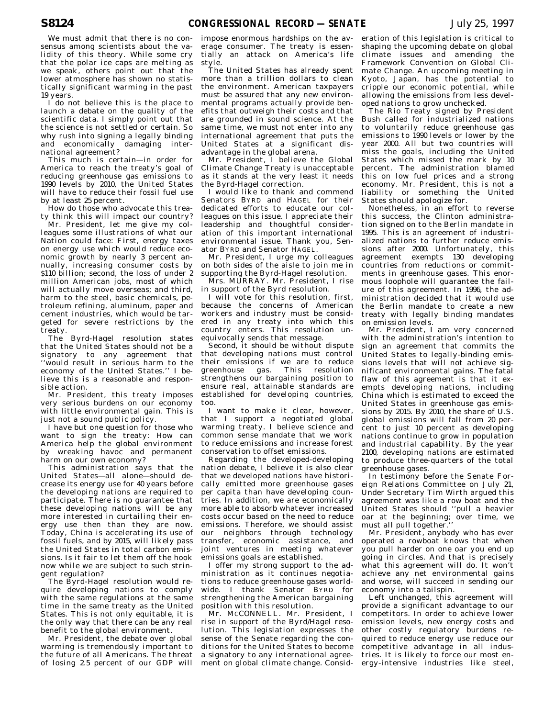We must admit that there is no consensus among scientists about the validity of this theory. While some cry that the polar ice caps are melting as we speak, others point out that the lower atmosphere has shown no statistically significant warming in the past 19 years.

 $\tilde{I}$  do not believe this is the place to launch a debate on the quality of the scientific data. I simply point out that the science is not settled or certain. So why rush into signing a legally binding and economically damaging international agreement?

This much is certain—in order for America to reach the treaty's goal of reducing greenhouse gas emissions to 1990 levels by 2010, the United States will have to reduce their fossil fuel use by at least 25 percent.

How do those who advocate this treaty think this will impact our country?

Mr. President, let me give my colleagues some illustrations of what our Nation could face: First, energy taxes on energy use which would reduce economic growth by nearly 3 percent annually, increasing consumer costs by \$110 billion; second, the loss of under 2 million American jobs, most of which will actually move overseas; and third, harm to the steel, basic chemicals, petroleum refining, aluminum, paper and cement industries, which would be targeted for severe restrictions by the treaty.

The Byrd-Hagel resolution states that the United States should not be a signatory to any agreement that 'would result in serious harm to the economy of the United States.'' I believe this is a reasonable and responsible action.

Mr. President, this treaty imposes very serious burdens on our economy with little environmental gain. This is just not a sound public policy.

I have but one question for those who want to sign the treaty: How can America help the global environment by wreaking havoc and permanent harm on our own economy?

This administration says that the United States—all alone—should decrease its energy use for 40 years before the developing nations are required to participate. There is no guarantee that these developing nations will be any more interested in curtailing their energy use then than they are now. Today, China is accelerating its use of fossil fuels, and by 2015, will likely pass the United States in total carbon emissions. Is it fair to let them off the hook now while we are subject to such stringent regulation?

The Byrd-Hagel resolution would require developing nations to comply with the same regulations at the same time in the same treaty as the United States. This is not only equitable, it is the only way that there can be any real benefit to the global environment.

Mr. President, the debate over global warming is tremendously important to the future of all Americans. The threat of losing 2.5 percent of our GDP will

impose enormous hardships on the average consumer. The treaty is essentially an attack on America's life style.

The United States has already spent more than a trillion dollars to clean the environment. American taxpayers must be assured that any new environmental programs actually provide benefits that outweigh their costs and that are grounded in sound science. At the same time, we must not enter into any international agreement that puts the United States at a significant disadvantage in the global arena.

Mr. President, I believe the Global Climate Change Treaty is unacceptable as it stands at the very least it needs the Byrd-Hagel correction.

I would like to thank and commend Senators BYRD and HAGEL for their dedicated efforts to educate our colleagues on this issue. I appreciate their leadership and thoughtful consideration of this important international environmental issue. Thank you, Senator BYRD and Senator HAGEL.

Mr. President, I urge my colleagues on both sides of the aisle to join me in supporting the Byrd-Hagel resolution.

Mrs. MURRAY. Mr. President, I rise in support of the Byrd resolution.

I will vote for this resolution, first, because the concerns of American workers and industry must be considered in any treaty into which this country enters. This resolution unequivocally sends that message.

Second, it should be without dispute that developing nations must control their emissions if we are to reduce<br>greenhouse gas. This resolution greenhouse gas. This resolution strengthens our bargaining position to ensure real, attainable standards are established for developing countries, too.

I want to make it clear, however, that I support a negotiated global warming treaty. I believe science and common sense mandate that we work to reduce emissions and increase forest conservation to offset emissions.

Regarding the developed-developing nation debate, I believe it is also clear that we developed nations have historically emitted more greenhouse gases per capita than have developing countries. In addition, we are economically more able to absorb whatever increased costs occur based on the need to reduce emissions. Therefore, we should assist our neighbors through technology transfer, economic assistance, and joint ventures in meeting whatever emissions goals are established.

I offer my strong support to the administration as it continues negotiations to reduce greenhouse gases worldwide. I thank Senator BYRD for strengthening the American bargaining position with this resolution.

Mr. MCCONNELL. Mr. President, I rise in support of the Byrd/Hagel resolution. This legislation expresses the sense of the Senate regarding the conditions for the United States to become a signatory to any international agreement on global climate change. Consid-

eration of this legislation is critical to shaping the upcoming debate on global climate issues and amending the Framework Convention on Global Climate Change. An upcoming meeting in Kyoto, Japan, has the potential to cripple our economic potential, while allowing the emissions from less developed nations to grow unchecked.

The Rio Treaty signed by President Bush called for industrialized nations to voluntarily reduce greenhouse gas emissions to 1990 levels or lower by the year 2000. All but two countries will miss the goals, including the United States which missed the mark by 10 percent. The administration blamed this on low fuel prices and a strong economy. Mr. President, this is not a liability or something the United States should apologize for.

Nonetheless, in an effort to reverse this success, the Clinton administration signed on to the Berlin mandate in 1995. This is an agreement of industrialized nations to further reduce emissions after 2000. Unfortunately, this agreement exempts 130 developing countries from reductions or commitments in greenhouse gases. This enormous loophole will guarantee the failure of this agreement. In 1996, the administration decided that it would use the Berlin mandate to create a new treaty with legally binding mandates on emission levels.

Mr. President, I am very concerned with the administration's intention to sign an agreement that commits the United States to legally-binding emissions levels that will not achieve significant environmental gains. The fatal flaw of this agreement is that it exempts developing nations, including China which is estimated to exceed the United States in greenhouse gas emissions by 2015. By 2010, the share of U.S. global emissions will fall from 20 percent to just 10 percent as developing nations continue to grow in population and industrial capability. By the year 2100, developing nations are estimated to produce three-quarters of the total greenhouse gases.

In testimony before the Senate Foreign Relations Committee on July 21, Under Secretary Tim Wirth argued this agreement was like a row boat and the United States should ''pull a heavier oar at the beginning; over time, we must all pull together.

Mr. President, anybody who has ever operated a rowboat knows that when you pull harder on one oar you end up going in circles. And that is precisely what this agreement will do. It won't achieve any net environmental gains and worse, will succeed in sending our economy into a tailspin.

Left unchanged, this agreement will provide a significant advantage to our competitors. In order to achieve lower emission levels, new energy costs and other costly regulatory burdens required to reduce energy use reduce our competitive advantage in all industries. It is likely to force our most energy-intensive industries like steel,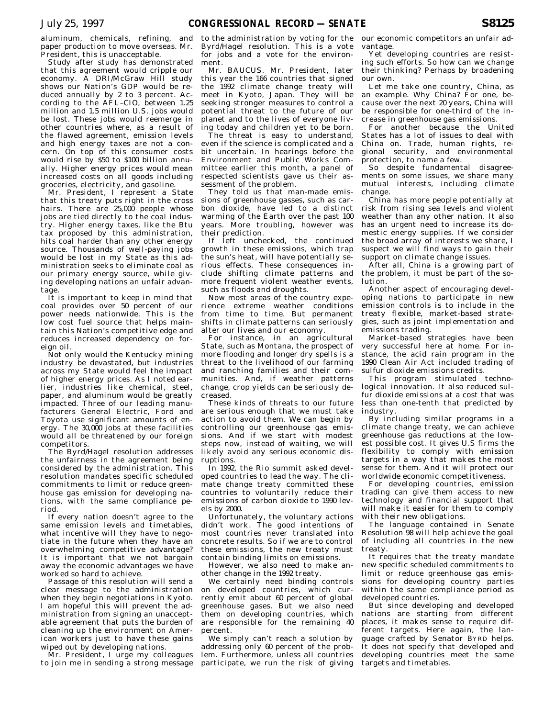aluminum, chemicals, refining, and paper production to move overseas. Mr. President, this is unacceptable.

Study after study has demonstrated that this agreement would cripple our economy. A DRI/McGraw Hill study shows our Nation's GDP would be reduced annually by 2 to 3 percent. According to the AFL–CIO, between 1.25 million and 1.5 million U.S. jobs would be lost. These jobs would reemerge in other countries where, as a result of the flawed agreement, emission levels and high energy taxes are not a concern. On top of this consumer costs would rise by \$50 to \$100 billion annually. Higher energy prices would mean increased costs on all goods including groceries, electricity, and gasoline.

Mr. President, I represent a State that this treaty puts right in the cross hairs. There are 25,000 people whose jobs are tied directly to the coal industry. Higher energy taxes, like the Btu tax proposed by this administration, hits coal harder than any other energy source. Thousands of well-paying jobs would be lost in my State as this administration seeks to eliminate coal as our primary energy source, while giving developing nations an unfair advantage.

It is important to keep in mind that coal provides over 50 percent of our power needs nationwide. This is the low cost fuel source that helps maintain this Nation's competitive edge and reduces increased dependency on foreign oil.

Not only would the Kentucky mining industry be devastated, but industries across my State would feel the impact of higher energy prices. As I noted earlier, industries like chemical, steel, paper, and aluminum would be greatly impacted. Three of our leading manufacturers General Electric, Ford and Toyota use significant amounts of energy. The 30,000 jobs at these facilities would all be threatened by our foreign competitors.

The Byrd/Hagel resolution addresses the unfairness in the agreement being considered by the administration. This resolution mandates specific scheduled commitments to limit or reduce greenhouse gas emission for developing nations, with the same compliance period.

If every nation doesn't agree to the same emission levels and timetables, what incentive will they have to negotiate in the future when they have an overwhelming competitive advantage? It is important that we not bargain away the economic advantages we have worked so hard to achieve.

Passage of this resolution will send a clear message to the administration when they begin negotiations in Kyoto. I am hopeful this will prevent the administration from signing an unacceptable agreement that puts the burden of cleaning up the environment on American workers just to have these gains wiped out by developing nations.

Mr. President, I urge my colleagues to join me in sending a strong message

to the administration by voting for the Byrd/Hagel resolution. This is a vote for jobs and a vote for the environment.

Mr. BAUCUS. Mr. President, later this year the 166 countries that signed the 1992 climate change treaty will meet in Kyoto, Japan. They will be seeking stronger measures to control a potential threat to the future of our planet and to the lives of everyone living today and children yet to be born.

The threat is easy to understand, even if the science is complicated and a bit uncertain. In hearings before the Environment and Public Works Committee earlier this month, a panel of respected scientists gave us their assessment of the problem.

They told us that man-made emissions of greenhouse gasses, such as carbon dioxide, have led to a distinct warming of the Earth over the past 100 years. More troubling, however was their prediction.

If left unchecked, the continued growth in these emissions, which trap the sun's heat, will have potentially serious effects. These consequences include shifting climate patterns and more frequent violent weather events, such as floods and droughts.

Now most areas of the country experience extreme weather conditions from time to time. But permanent shifts in climate patterns can seriously alter our lives and our economy.

For instance, in an agricultural State, such as Montana, the prospect of more flooding and longer dry spells is a threat to the livelihood of our farming and ranching families and their communities. And, if weather patterns change, crop yields can be seriously decreased.

These kinds of threats to our future are serious enough that we must take action to avoid them. We can begin by controlling our greenhouse gas emissions. And if we start with modest steps now, instead of waiting, we will likely avoid any serious economic disruptions.

In 1992, the Rio summit asked developed countries to lead the way. The climate change treaty committed these countries to voluntarily reduce their emissions of carbon dioxide to 1990 levels by 2000.

Unfortunately, the voluntary actions didn't work. The good intentions of most countries never translated into concrete results. So if we are to control these emissions, the new treaty must contain binding limits on emissions.

However, we also need to make another change in the 1992 treaty.

We certainly need binding controls on developed countries, which currently emit about 60 percent of global greenhouse gases. But we also need them on developing countries, which are responsible for the remaining 40 percent.

We simply can't reach a solution by addressing only 60 percent of the problem. Furthermore, unless all countries participate, we run the risk of giving

our economic competitors an unfair advantage.

Yet developing countries are resisting such efforts. So how can we change their thinking? Perhaps by broadening our own.

Let me take one country, China, as an example. Why China? For one, because over the next 20 years, China will be responsible for one-third of the increase in greenhouse gas emissions.

For another because the United States has a lot of issues to deal with China on. Trade, human rights, regional security, and environmental protection, to name a few.

So despite fundamental disagreements on some issues, we share many mutual interests, including climate change.

China has more people potentially at risk from rising sea levels and violent weather than any other nation. It also has an urgent need to increase its domestic energy supplies. If we consider the broad array of interests we share, I suspect we will find ways to gain their support on climate change issues.

After all, China is a growing part of the problem, it must be part of the solution.

Another aspect of encouraging developing nations to participate in new emission controls is to include in the treaty flexible, market-based strategies, such as joint implementation and emissions trading.

Market-based strategies have been very successful here at home. For instance, the acid rain program in the 1990 Clean Air Act included trading of sulfur dioxide emissions credits.

This program stimulated technological innovation. It also reduced sulfur dioxide emissions at a cost that was less than one-tenth that predicted by industry.

By including similar programs in a climate change treaty, we can achieve greenhouse gas reductions at the lowest possible cost. It gives U.S firms the flexibility to comply with emission targets in a way that makes the most sense for them. And it will protect our worldwide economic competitiveness.

For developing countries, emission trading can give them access to new technology and financial support that will make it easier for them to comply with their new obligations.

The language contained in Senate Resolution 98 will help achieve the goal of including all countries in the new treaty.

It requires that the treaty mandate new specific scheduled commitments to limit or reduce greenhouse gas emissions for developing country parties within the same compliance period as developed countries.

But since developing and developed nations are starting from different places, it makes sense to require different targets. Here again, the language crafted by Senator BYRD helps. It does not specify that developed and developing countries meet the same targets and timetables.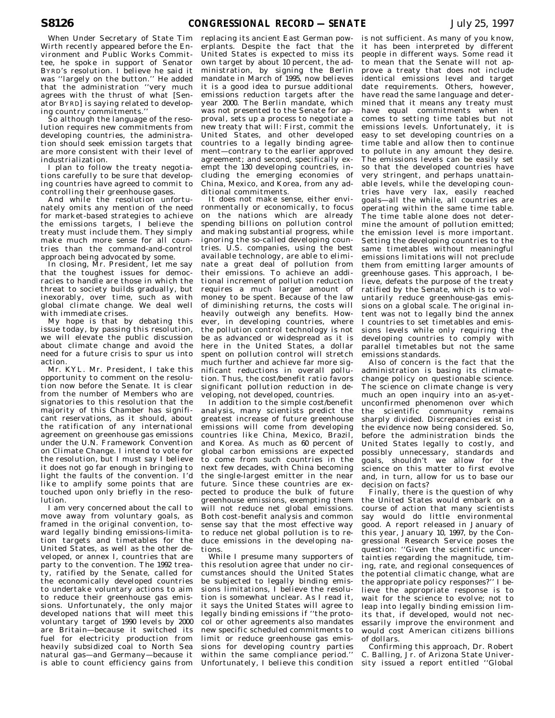When Under Secretary of State Tim Wirth recently appeared before the Environment and Public Works Committee, he spoke in support of Senator BYRD's resolution. I believe he said it was ''largely on the button.'' He added that the administration ''very much agrees with the thrust of what [Senator BYRD] is saying related to developing country commitments.''

So although the language of the resolution requires new commitments from developing countries, the administration should seek emission targets that are more consistent with their level of industrialization.

I plan to follow the treaty negotiations carefully to be sure that developing countries have agreed to commit to controlling their greenhouse gases.

And while the resolution unfortunately omits any mention of the need for market-based strategies to achieve the emissions targets, I believe the treaty must include them. They simply make much more sense for all countries than the command-and-control approach being advocated by some.

In closing, Mr. President, let me say that the toughest issues for democracies to handle are those in which the threat to society builds gradually, but inexorably, over time, such as with global climate change. We deal well with immediate crises.

My hope is that by debating this issue today, by passing this resolution, we will elevate the public discussion about climate change and avoid the need for a future crisis to spur us into action.

Mr. KYL. Mr. President, I take this opportunity to comment on the resolution now before the Senate. It is clear from the number of Members who are signatories to this resolution that the majority of this Chamber has significant reservations, as it should, about the ratification of any international agreement on greenhouse gas emissions under the U.N. Framework Convention on Climate Change. I intend to vote for the resolution, but I must say I believe it does not go far enough in bringing to light the faults of the convention. I'd like to amplify some points that are touched upon only briefly in the resolution.

I am very concerned about the call to move away from voluntary goals, as framed in the original convention, toward legally binding emissions-limitation targets and timetables for the United States, as well as the other developed, or annex I, countries that are party to the convention. The 1992 treaty, ratified by the Senate, called for the economically developed countries to undertake voluntary actions to aim to reduce their greenhouse gas emissions. Unfortunately, the only major developed nations that will meet this voluntary target of 1990 levels by 2000 are Britain—because it switched its fuel for electricity production from heavily subsidized coal to North Sea natural gas—and Germany—because it is able to count efficiency gains from

replacing its ancient East German powerplants. Despite the fact that the United States is expected to miss its own target by about 10 percent, the administration, by signing the Berlin mandate in March of 1995, now believes it is a good idea to pursue additional emissions reduction targets after the year 2000. The Berlin mandate, which was not presented to the Senate for approval, sets up a process to negotiate a new treaty that will: First, commit the United States, and other developed countries to a legally binding agreement—contrary to the earlier approved agreement; and second, specifically exempt the 130 developing countries, including the emerging economies of China, Mexico, and Korea, from any additional commitments.

It does not make sense, either environmentally or economically, to focus on the nations which are already spending billions on pollution control and making substantial progress, while ignoring the so-called developing countries. U.S. companies, using the best available technology, are able to eliminate a great deal of pollution from their emissions. To achieve an additional increment of pollution reduction requires a much larger amount of money to be spent. Because of the law of diminishing returns, the costs will heavily outweigh any benefits. However, in developing countries, where the pollution control technology is not be as advanced or widespread as it is here in the United States, a dollar spent on pollution control will stretch much further and achieve far more significant reductions in overall pollution. Thus, the cost/benefit ratio favors significant pollution reduction in developing, not developed, countries.

In addition to the simple cost/benefit analysis, many scientists predict the greatest increase of future greenhouse emissions will come from developing countries like China, Mexico, Brazil, and Korea. As much as 60 percent of global carbon emissions are expected to come from such countries in the next few decades, with China becoming the single-largest emitter in the near future. Since these countries are expected to produce the bulk of future greenhouse emissions, exempting them will not reduce net global emissions. Both cost-benefit analysis and common sense say that the most effective way to reduce net global pollution is to reduce emissions in the developing nations.

While I presume many supporters of this resolution agree that under no circumstances should the United States be subjected to legally binding emissions limitations,  $\breve{\mathrm{I}}$  believe the resolution is somewhat unclear. As I read it, it says the United States will agree to legally binding emissions if ''the protocol or other agreements also mandates new specific scheduled commitments to limit or reduce greenhouse gas emissions for developing country parties within the same compliance period.'' Unfortunately, I believe this condition

is not sufficient. As many of you know, it has been interpreted by different people in different ways. Some read it to mean that the Senate will not approve a treaty that does not include identical emissions level and target date requirements. Others, however, have read the same language and determined that it means any treaty must have equal commitments when it comes to setting time tables but not emissions levels. Unfortunately, it is easy to set developing countries on a time table and allow then to continue to pollute in any amount they desire. The emissions levels can be easily set so that the developed countries have very stringent, and perhaps unattainable levels, while the developing countries have very lax, easily reached goals—all the while, all countries are operating within the same time table. The time table alone does not determine the amount of pollution emitted; the emission level is more important. Setting the developing countries to the same timetables without meaningful emissions limitations will not preclude them from emitting larger amounts of greenhouse gases. This approach, I believe, defeats the purpose of the treaty ratified by the Senate, which is to voluntarily reduce greenhouse-gas emissions on a global scale. The original intent was not to legally bind the annex I countries to set timetables and emissions levels while only requiring the developing countries to comply with parallel timetables but not the same .<br>emissions standards.

Also of concern is the fact that the administration is basing its climatechange policy on questionable science. The science on climate change is very much an open inquiry into an as-yetunconfirmed phenomenon over which the scientific community remains sharply divided. Discrepancies exist in the evidence now being considered. So, before the administration binds the United States legally to costly, and possibly unnecessary, standards and goals, shouldn't we allow for the science on this matter to first evolve and, in turn, allow for us to base our decision on facts?

Finally, there is the question of why the United States would embark on a course of action that many scientists say would do little environmental good. A report released in January of this year, January 10, 1997, by the Congressional Research Service poses the question: ''Given the scientific uncertainties regarding the magnitude, timing, rate, and regional consequences of the potential climatic change, what are the appropriate policy responses?'' I believe the appropriate response is to wait for the science to evolve; not to leap into legally binding emission limits that, if developed, would not necessarily improve the environment and would cost American citizens billions of dollars.

Confirming this approach, Dr. Robert C. Balling, Jr. of Arizona State University issued a report entitled ''Global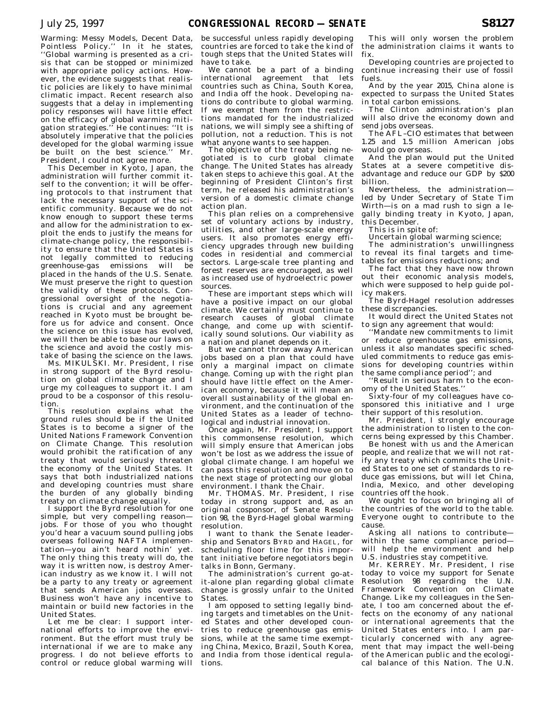Warming: Messy Models, Decent Data, Pointless Policy.'' In it he states, ''Global warming is presented as a crisis that can be stopped or minimized with appropriate policy actions. However, the evidence suggests that realistic policies are likely to have minimal climatic impact. Recent research also suggests that a delay in implementing policy responses will have little effect on the efficacy of global warming mitigation strategies.'' He continues: ''It is absolutely imperative that the policies developed for the global warming issue be built on the best science.'' Mr. President, I could not agree more.

This December in Kyoto, Japan, the administration will further commit itself to the convention; it will be offering protocols to that instrument that lack the necessary support of the scientific community. Because we do not know enough to support these terms and allow for the administration to exploit the ends to justify the means for climate-change policy, the responsibility to ensure that the United States is not legally committed to reducing greenhouse-gas emissions will be placed in the hands of the U.S. Senate. We must preserve the right to question the validity of these protocols. Congressional oversight of the negotiations is crucial and any agreement reached in Kyoto must be brought before us for advice and consent. Once the science on this issue has evolved, we will then be able to base our laws on the science and avoid the costly mistake of basing the science on the laws.

Ms. MIKULSKI. Mr. President, I rise in strong support of the Byrd resolution on global climate change and I urge my colleagues to support it. I am proud to be a cosponsor of this resolution.

This resolution explains what the ground rules should be if the United States is to become a signer of the United Nations Framework Convention on Climate Change. This resolution would prohibit the ratification of any treaty that would seriously threaten the economy of the United States. It says that both industrialized nations and developing countries must share the burden of any globally binding treaty on climate change equally.

I support the Byrd resolution for one simple, but very compelling reason jobs. For those of you who thought you'd hear a vacuum sound pulling jobs overseas following NAFTA implementation—you ain't heard nothin' yet. The only thing this treaty will do, the way it is written now, is destroy American industry as we know it. I will not be a party to any treaty or agreement that sends American jobs overseas. Business won't have any incentive to maintain or build new factories in the United States.

Let me be clear: I support international efforts to improve the environment. But the effort must truly be international if we are to make any progress. I do not believe efforts to control or reduce global warming will

be successful unless rapidly developing countries are forced to take the kind of tough steps that the United States will have to take.

We cannot be a part of a binding international agreement that lets countries such as China, South Korea, and India off the hook. Developing nations do contribute to global warming. If we exempt them from the restrictions mandated for the industrialized nations, we will simply see a shifting of pollution, not a reduction. This is not what anyone wants to see happen.

The objective of the treaty being negotiated is to curb global climate change. The United States has already taken steps to achieve this goal. At the beginning of President Clinton's first term, he released his administration's version of a domestic climate change action plan.

This plan relies on a comprehensive set of voluntary actions by industry, utilities, and other large-scale energy users. It also promotes energy efficiency upgrades through new building codes in residential and commercial sectors. Large-scale tree planting and forest reserves are encouraged, as well as increased use of hydroelectric power sources.

These are important steps which will have a positive impact on our global climate. We certainly must continue to research causes of global climate change, and come up with scientifically sound solutions. Our viability as a nation and planet depends on it.

But we cannot throw away American jobs based on a plan that could have only a marginal impact on climate change. Coming up with the right plan should have little effect on the American economy, because it will mean an overall sustainability of the global environment, and the continuation of the United States as a leader of technological and industrial innovation.

Once again, Mr. President, I support this commonsense resolution, which will simply ensure that American jobs won't be lost as we address the issue of global climate change. I am hopeful we can pass this resolution and move on to the next stage of protecting our global environment. I thank the Chair.

Mr. THOMAS. Mr. President, I rise today in strong support and, as an original cosponsor, of Senate Resolution 98, the Byrd-Hagel global warming resolution.

I want to thank the Senate leadership and Senators BYRD and HAGEL, for scheduling floor time for this important initiative before negotiators begin talks in Bonn, Germany.

The administration's current go-atit-alone plan regarding global climate change is grossly unfair to the United States.

I am opposed to setting legally binding targets and timetables on the United States and other developed countries to reduce greenhouse gas emissions, while at the same time exempting China, Mexico, Brazil, South Korea, and India from those identical regulations.

This will only worsen the problem the administration claims it wants to fix.

Developing countries are projected to continue increasing their use of fossil fuels.

And by the year 2015, China alone is expected to surpass the United States in total carbon emissions.

The Clinton administration's plan will also drive the economy down and send jobs overseas.

The AFL–CIO estimates that between 1.25 and 1.5 million American jobs would go overseas.

And the plan would put the United States at a severe competitive disadvantage and reduce our GDP by \$200 billion.

Nevertheless, the administration led by Under Secretary of State Tim Wirth—is on a mad rush to sign a legally binding treaty in Kyoto, Japan, this December.

This is in spite of:

Uncertain global warming science;

The administration's unwillingness to reveal its final targets and timetables for emissions reductions; and

The fact that they have now thrown out their economic analysis models, which were supposed to help guide policy makers.

The Byrd-Hagel resolution addresses these discrepancies.

It would direct the United States not to sign any agreement that would:

''Mandate new commitments to limit or reduce greenhouse gas emissions, unless it also mandates specific scheduled commitments to reduce gas emissions for developing countries within the same compliance period''; and

''Result in serious harm to the economy of the United States.''

Sixty-four of my colleagues have cosponsored this initiative and I urge their support of this resolution.

Mr. President, I strongly encourage the administration to listen to the concerns being expressed by this Chamber.

Be honest with us and the American people, and realize that we will not ratify any treaty which commits the United States to one set of standards to reduce gas emissions, but will let China, India, Mexico, and other developing countries off the hook.

We ought to focus on bringing all of the countries of the world to the table. Everyone ought to contribute to the cause.

Asking all nations to contribute within the same compliance period will help the environment and help U.S. industries stay competitive.

Mr. KERREY. Mr. President, I rise today to voice my support for Senate Resolution 98 regarding the U.N. Framework Convention on Climate Change. Like my colleagues in the Senate, I too am concerned about the effects on the economy of any national or international agreements that the United States enters into. I am particularly concerned with any agreement that may impact the well-being of the American public and the ecological balance of this Nation. The U.N.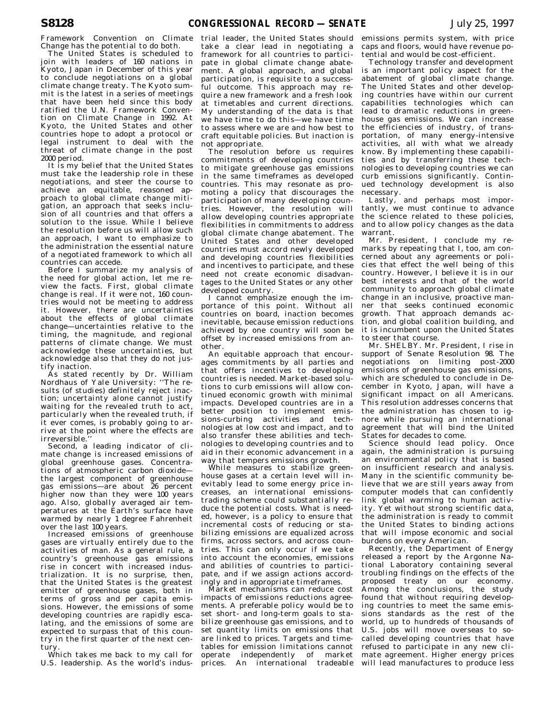Framework Convention on Climate Change has the potential to do both.

The United States is scheduled to join with leaders of 160 nations in Kyoto, Japan in December of this year to conclude negotiations on a global climate change treaty. The Kyoto summit is the latest in a series of meetings that have been held since this body ratified the U.N. Framework Convention on Climate Change in 1992. At Kyoto, the United States and other countries hope to adopt a protocol or legal instrument to deal with the threat of climate change in the post 2000 period.

It is my belief that the United States must take the leadership role in these negotiations, and steer the course to achieve an equitable, reasoned approach to global climate change mitigation, an approach that seeks inclusion of all countries and that offers a solution to the issue. While I believe the resolution before us will allow such an approach, I want to emphasize to the administration the essential nature of a negotiated framework to which all countries can accede.

Before I summarize my analysis of the need for global action, let me review the facts. First, global climate change is real. If it were not, 160 countries would not be meeting to address it. However, there are uncertainties about the effects of global climate change—uncertainties relative to the timing, the magnitude, and regional patterns of climate change. We must acknowledge these uncertainties, but acknowledge also that they do not justify inaction.

As stated recently by Dr. William Nordhaus of Yale University: ''The results (of studies) definitely reject inaction; uncertainty alone cannot justify waiting for the revealed truth to act, particularly when the revealed truth, if it ever comes, is probably going to arrive at the point where the effects are irreversible.''

Second, a leading indicator of climate change is increased emissions of global greenhouse gases. Concentrations of atmospheric carbon dioxide the largest component of greenhouse gas emissions—are about 26 percent higher now than they were  $100$  years ago. Also, globally averaged air temperatures at the Earth's surface have warmed by nearly 1 degree Fahrenheit over the last 100 years.

Increased emissions of greenhouse gases are virtually entirely due to the activities of man. As a general rule, a country's greenhouse gas emissions rise in concert with increased industrialization. It is no surprise, then, that the United States is the greatest emitter of greenhouse gases, both in terms of gross and per capita emissions. However, the emissions of some developing countries are rapidly escalating, and the emissions of some are expected to surpass that of this country in the first quarter of the next century.

Which takes me back to my call for U.S. leadership. As the world's indus-

trial leader, the United States should take a clear lead in negotiating a framework for all countries to participate in global climate change abatement. A global approach, and global participation, is requisite to a successful outcome. This approach may require a new framework and a fresh look at timetables and current directions. My understanding of the data is that we have time to do this—we have time to assess where we are and how best to craft equitable policies. But inaction is not appropriate.

The resolution before us requires commitments of developing countries to mitigate greenhouse gas emissions in the same timeframes as developed countries. This may resonate as promoting a policy that discourages the participation of many developing countries. However, the resolution will allow developing countries appropriate flexibilities in commitments to address global climate change abatement. The United States and other developed countries must accord newly developed and developing countries flexibilities and incentives to participate, and these need not create economic disadvantages to the United States or any other developed country.

I cannot emphasize enough the importance of this point. Without all countries on board, inaction becomes inevitable, because emission reductions achieved by one country will soon be offset by increased emissions from another.

An equitable approach that encourages commitments by all parties and that offers incentives to developing countries is needed. Market-based solutions to curb emissions will allow continued economic growth with minimal impacts. Developed countries are in a better position to implement emissions-curbing activities and technologies at low cost and impact, and to also transfer these abilities and technologies to developing countries and to aid in their economic advancement in a way that tempers emissions growth.

While measures to stabilize greenhouse gases at a certain level will inevitably lead to some energy price increases, an international emissionstrading scheme could substantially reduce the potential costs. What is needed, however, is a policy to ensure that incremental costs of reducing or stabilizing emissions are equalized across firms, across sectors, and across countries. This can only occur if we take into account the economies, emissions and abilities of countries to participate, and if we assign actions accordingly and in appropriate timeframes.

Market mechanisms can reduce cost impacts of emissions reductions agreements. A preferable policy would be to set short- and long-term goals to stabilize greenhouse gas emissions, and to set quantity limits on emissions that are linked to prices. Targets and timetables for emission limitations cannot operate independently of market prices. An international tradeable

emissions permits system, with price caps and floors, would have revenue potential and would be cost-efficient.

Technology transfer and development is an important policy aspect for the abatement of global climate change. The United States and other developing countries have within our current capabilities technologies which can lead to dramatic reductions in greenhouse gas emissions. We can increase the efficiencies of industry, of transportation, of many energy-intensive activities, all with what we already know. By implementing these capabilities and by transferring these technologies to developing countries we can curb emissions significantly. Continued technology development is also necessary.

Lastly, and perhaps most importantly, we must continue to advance the science related to these policies, and to allow policy changes as the data warrant.

Mr. President, I conclude my remarks by repeating that I, too, am concerned about any agreements or policies that effect the well being of this country. However, I believe it is in our best interests and that of the world community to approach global climate change in an inclusive, proactive manner that seeks continued economic growth. That approach demands action, and global coalition building, and it is incumbent upon the United States to steer that course.

Mr. SHELBY. Mr. President, I rise in support of Senate Resolution 98. The negotiations on limiting post-2000 emissions of greenhouse gas emissions, which are scheduled to conclude in December in Kyoto, Japan, will have a significant impact on all Americans. This resolution addresses concerns that the administration has chosen to ignore while pursuing an international agreement that will bind the United States for decades to come.

Science should lead policy. Once again, the administration is pursuing an environmental policy that is based on insufficient research and analysis. Many in the scientific community believe that we are still years away from computer models that can confidently link global warming to human activity. Yet without strong scientific data, the administration is ready to commit the United States to binding actions that will impose economic and social burdens on every American.

Recently, the Department of Energy released a report by the Argonne National Laboratory containing several troubling findings on the effects of the proposed treaty on our economy. Among the conclusions, the study found that without requiring developing countries to meet the same emissions standards as the rest of the world, up to hundreds of thousands of U.S. jobs will move overseas to socalled developing countries that have refused to participate in any new climate agreement. Higher energy prices will lead manufactures to produce less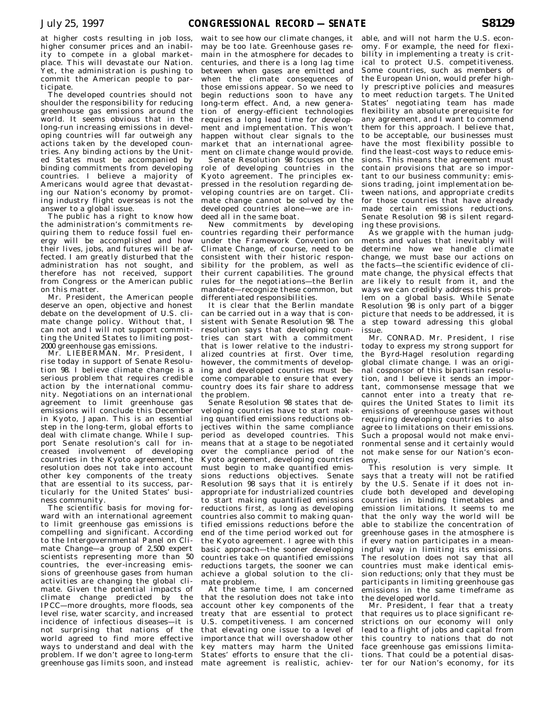at higher costs resulting in job loss, higher consumer prices and an inability to compete in a global marketplace. This will devastate our Nation. Yet, the administration is pushing to commit the American people to participate.

The developed countries should not shoulder the responsibility for reducing greenhouse gas emissions around the world. It seems obvious that in the long-run increasing emissions in developing countries will far outweigh any actions taken by the developed countries. Any binding actions by the United States must be accompanied by binding commitments from developing countries. I believe a majority of Americans would agree that devastating our Nation's economy by promoting industry flight overseas is not the answer to a global issue.

The public has a right to know how the administration's commitments requiring them to reduce fossil fuel energy will be accomplished and how their lives, jobs, and futures will be affected. I am greatly disturbed that the administration has not sought, and therefore has not received, support from Congress or the American public on this matter.

Mr. President, the American people deserve an open, objective and honest debate on the development of U.S. climate change policy. Without that, I can not and I will not support committing the United States to limiting post-2000 greenhouse gas emissions.

Mr. LIEBERMAN. Mr. President, I rise today in support of Senate Resolution 98. I believe climate change is a serious problem that requires credible action by the international community. Negotiations on an international agreement to limit greenhouse gas emissions will conclude this December in Kyoto, Japan. This is an essential step in the long-term, global efforts to deal with climate change. While I support Senate resolution's call for increased involvement of developing countries in the Kyoto agreement, the resolution does not take into account other key components of the treaty that are essential to its success, particularly for the United States' business community.

The scientific basis for moving forward with an international agreement to limit greenhouse gas emissions is compelling and significant. According to the Intergovernmental Panel on Climate Change—a group of 2,500 expert scientists representing more than 50 countries, the ever-increasing emissions of greenhouse gases from human activities are changing the global climate. Given the potential impacts of climate change predicted by the IPCC—more droughts, more floods, sea level rise, water scarcity, and increased incidence of infectious diseases—it is not surprising that nations of the world agreed to find more effective ways to understand and deal with the problem. If we don't agree to long-term greenhouse gas limits soon, and instead

wait to see how our climate changes, it may be too late. Greenhouse gases remain in the atmosphere for decades to centuries, and there is a long lag time between when gases are emitted and when the climate consequences of those emissions appear. So we need to begin reductions soon to have any long-term effect. And, a new generation of energy-efficient technologies requires a long lead time for development and implementation. This won't happen without clear signals to the market that an international agreement on climate change would provide.

Senate Resolution 98 focuses on the role of developing countries in the Kyoto agreement. The principles expressed in the resolution regarding developing countries are on target. Climate change cannot be solved by the developed countries alone—we are indeed all in the same boat.

New commitments by developing countries regarding their performance under the Framework Convention on Climate Change, of course, need to be consistent with their historic responsibility for the problem, as well as their current capabilities. The ground rules for the negotiations—the Berlin mandate—recognize these common, but differentiated responsibilities.

It is clear that the Berlin mandate can be carried out in a way that is consistent with Senate Resolution 98. The resolution says that developing countries can start with a commitment that is lower relative to the industrialized countries at first. Over time, however, the commitments of developing and developed countries must become comparable to ensure that every country does its fair share to address the problem.

Senate Resolution 98 states that developing countries have to start making quantified emissions reductions objectives within the same compliance period as developed countries. This means that at a stage to be negotiated over the compliance period of the Kyoto agreement, developing countries must begin to make quantified emissions reductions objectives. Senate Resolution 98 says that it is entirely appropriate for industrialized countries to start making quantified emissions reductions first, as long as developing countries also commit to making quantified emissions reductions before the end of the time period worked out for the Kyoto agreement. I agree with this basic approach—the sooner developing countries take on quantified emissions reductions targets, the sooner we can achieve a global solution to the climate problem.

At the same time, I am concerned that the resolution does not take into account other key components of the treaty that are essential to protect U.S. competitiveness. I am concerned that elevating one issue to a level of importance that will overshadow other key matters may harm the United States' efforts to ensure that the climate agreement is realistic, achiev-

able, and will not harm the U.S. economy. For example, the need for flexibility in implementing a treaty is critical to protect U.S. competitiveness. Some countries, such as members of the European Union, would prefer highly prescriptive policies and measures to meet reduction targets. The United States' negotiating team has made flexibility an absolute prerequisite for any agreement, and I want to commend them for this approach. I believe that, to be acceptable, our businesses must have the most flexibility possible to find the least-cost ways to reduce emissions. This means the agreement must contain provisions that are so important to our business community: emissions trading, joint implementation between nations, and appropriate credits for those countries that have already made certain emissions reductions. Senate Resolution 98 is silent regarding these provisions.

As we grapple with the human judgments and values that inevitably will determine how we handle climate change, we must base our actions on the facts—the scientific evidence of climate change, the physical effects that are likely to result from it, and the ways we can credibly address this problem on a global basis. While Senate Resolution 98 is only part of a bigger picture that needs to be addressed, it is a step toward adressing this global issue.

Mr. CONRAD. Mr. President, I rise today to express my strong support for the Byrd-Hagel resolution regarding global climate change. I was an original cosponsor of this bipartisan resolution, and I believe it sends an important, commonsense message that we cannot enter into a treaty that requires the United States to limit its emissions of greenhouse gases without requiring developing countries to also agree to limitations on their emissions. Such a proposal would not make environmental sense and it certainly would not make sense for our Nation's economy.

This resolution is very simple. It says that a treaty will not be ratified by the U.S. Senate if it does not include both developed and developing countries in binding timetables and emission limitations. It seems to me that the only way the world will be able to stabilize the concentration of greenhouse gases in the atmosphere is if every nation participates in a meaningful way in limiting its emissions. The resolution does not say that all countries must make identical emission reductions; only that they must be participants in limiting greenhouse gas emissions in the same timeframe as the developed world.

Mr. President, I fear that a treaty that requires us to place significant restrictions on our economy will only lead to a flight of jobs and capital from this country to nations that do not face greenhouse gas emissions limitations. That could be a potential disaster for our Nation's economy, for its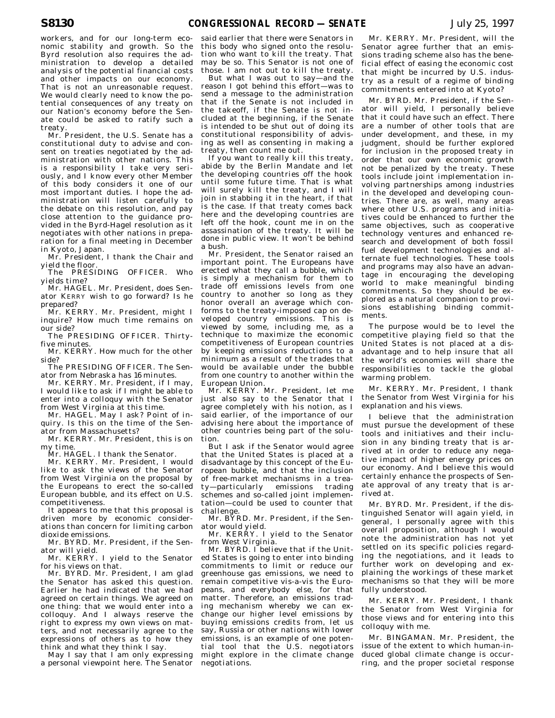workers, and for our long-term economic stability and growth. So the Byrd resolution also requires the administration to develop a detailed analysis of the potential financial costs and other impacts on our economy. That is not an unreasonable request. We would clearly need to know the potential consequences of any treaty on our Nation's economy before the Senate could be asked to ratify such a treaty.

Mr. President, the U.S. Senate has a constitutional duty to advise and consent on treaties negotiated by the administration with other nations. This is a responsibility I take very seriously, and I know every other Member of this body considers it one of our most important duties. I hope the administration will listen carefully to the debate on this resolution, and pay close attention to the guidance provided in the Byrd-Hagel resolution as it negotiates with other nations in preparation for a final meeting in December in Kyoto, Japan.

Mr. President, I thank the Chair and yield the floor.

The PRESIDING OFFICER. Who yields time?

Mr. HAGEL. Mr. President, does Senator KERRY wish to go forward? Is he prepared?

Mr. KERRY. Mr. President, might I inquire? How much time remains on our side?

The PRESIDING OFFICER. Thirtyfive minutes.

Mr. KERRY. How much for the other side?

The PRESIDING OFFICER. The Senator from Nebraska has 16 minutes.

Mr. KERRY. Mr. President, if I may, I would like to ask if I might be able to enter into a colloquy with the Senator from West Virginia at this time.

Mr. HAGEL. May I ask? Point of inquiry. Is this on the time of the Senator from Massachusetts?

Mr. KERRY. Mr. President, this is on my time.

Mr. HAGEL. I thank the Senator.

Mr. KERRY. Mr. President, I would like to ask the views of the Senator from West Virginia on the proposal by the Europeans to erect the so-called European bubble, and its effect on U.S. competitiveness.

It appears to me that this proposal is driven more by economic considerations than concern for limiting carbon dioxide emissions.

Mr. BYRD. Mr. President, if the Senator will yield.

Mr. KERRY. I yield to the Senator for his views on that.

Mr. BYRD. Mr. President, I am glad the Senator has asked this question. Earlier he had indicated that we had agreed on certain things. We agreed on one thing: that we would enter into a colloquy. And I always reserve the right to express my own views on matters, and not necessarily agree to the expressions of others as to how they think and what they think I say.

May I say that I am only expressing a personal viewpoint here. The Senator said earlier that there were Senators in this body who signed onto the resolution who want to kill the treaty. That may be so. This Senator is not one of those. I am not out to kill the treaty.

But what I was out to say—and the reason I got behind this effort—was to send a message to the administration that if the Senate is not included in the takeoff, if the Senate is not included at the beginning, if the Senate is intended to be shut out of doing its constitutional responsibility of advising as well as consenting in making a treaty, then count me out.

If you want to really kill this treaty, abide by the Berlin Mandate and let the developing countries off the hook until some future time. That is what will surely kill the treaty, and I will join in stabbing it in the heart, if that is the case. If that treaty comes back here and the developing countries are left off the hook, count me in on the assassination of the treaty. It will be done in public view. It won't be behind a bush.

Mr. President, the Senator raised an important point. The Europeans have erected what they call a bubble, which is simply a mechanism for them to trade off emissions levels from one country to another so long as they honor overall an average which conforms to the treaty-imposed cap on developed country emissions. This is viewed by some, including me, as a technique to maximize the economic competitiveness of European countries by keeping emissions reductions to a minimum as a result of the trades that would be available under the bubble from one country to another within the European Union.

Mr. KERRY. Mr. President, let me just also say to the Senator that I agree completely with his notion, as I said earlier, of the importance of our advising here about the importance of other countries being part of the solution.

But I ask if the Senator would agree that the United States is placed at a disadvantage by this concept of the European bubble, and that the inclusion of free-market mechanisms in a treaty—particularly emissions trading schemes and so-called joint implementation—could be used to counter that challenge.

Mr. BYRD. Mr. President, if the Senator would yield.

Mr. KERRY. I yield to the Senator from West Virginia.

Mr. BYRD. I believe that if the United States is going to enter into binding commitments to limit or reduce our greenhouse gas emissions, we need to remain competitive vis-a-vis the Europeans, and everybody else, for that matter. Therefore, an emissions trading mechanism whereby we can exchange our higher level emissions by buying emissions credits from, let us say, Russia or other nations with lower emissions, is an example of one potential tool that the U.S. negotiators might explore in the climate change negotiations.

Mr. KERRY. Mr. President, will the Senator agree further that an emissions trading scheme also has the beneficial effect of easing the economic cost that might be incurred by U.S. industry as a result of a regime of binding commitments entered into at Kyoto?

Mr. BYRD. Mr. President, if the Senator will yield, I personally believe that it could have such an effect. There are a number of other tools that are under development, and these, in my judgment, should be further explored for inclusion in the proposed treaty in order that our own economic growth not be penalized by the treaty. These tools include joint implementation involving partnerships among industries in the developed and developing countries. There are, as well, many areas where other U.S. programs and initiatives could be enhanced to further the same objectives, such as cooperative technology ventures and enhanced research and development of both fossil fuel development technologies and alternate fuel technologies. These tools and programs may also have an advantage in encouraging the developing world to make meaningful binding commitments. So they should be explored as a natural companion to provisions establishing binding commitments.

The purpose would be to level the competitive playing field so that the United States is not placed at a disadvantage and to help insure that all the world's economies will share the responsibilities to tackle the global warming problem.

Mr. KERRY. Mr. President, I thank the Senator from West Virginia for his explanation and his views.

I believe that the administration must pursue the development of these tools and initiatives and their inclusion in any binding treaty that is arrived at in order to reduce any negative impact of higher energy prices on our economy. And I believe this would certainly enhance the prospects of Senate approval of any treaty that is arrived at.

Mr. BYRD. Mr. President, if the distinguished Senator will again yield, in general, I personally agree with this overall proposition, although I would note the administration has not yet settled on its specific policies regarding the negotiations, and it leads to further work on developing and explaining the workings of these market mechanisms so that they will be more fully understood.

Mr. KERRY. Mr. President, I thank the Senator from West Virginia for those views and for entering into this colloquy with me.

Mr. BINGAMAN. Mr. President, the issue of the extent to which human-induced global climate change is occurring, and the proper societal response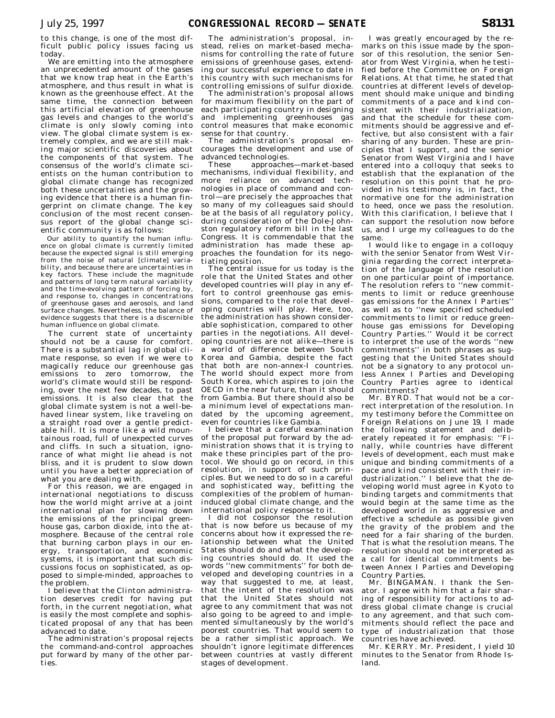to this change, is one of the most difficult public policy issues facing us today.

We are emitting into the atmosphere an unprecedented amount of the gases that we know trap heat in the Earth's atmosphere, and thus result in what is known as the greenhouse effect. At the same time, the connection between this artificial elevation of greenhouse gas levels and changes to the world's climate is only slowly coming into view. The global climate system is extremely complex, and we are still making major scientific discoveries about the components of that system. The consensus of the world's climate scientists on the human contribution to global climate change has recognized both these uncertainties and the growing evidence that there is a human fingerprint on climate change. The key conclusion of the most recent consensus report of the global change scientific community is as follows:

Our ability to quantify the human influence on global climate is currently limited because the expected signal is still emerging from the noise of natural [climate] variability, and because there are uncertainties in key factors. These include the magnitude and patterns of long term natural variability and the time-evolving pattern of forcing by, and response to, changes in concentrations of greenhouse gases and aerosols, and land surface changes. Nevertheless, the balance of evidence suggests that there is a discernible human influence on global climate.

The current state of uncertainty should not be a cause for comfort. There is a substantial lag in global climate response, so even if we were to magically reduce our greenhouse gas emissions to zero tomorrow, the world's climate would still be responding, over the next few decades, to past emissions. It is also clear that the global climate system is not a well-behaved linear system, like traveling on a straight road over a gentle predictable hill. It is more like a wild mountainous road, full of unexpected curves and cliffs. In such a situation, ignorance of what might lie ahead is not bliss, and it is prudent to slow down until you have a better appreciation of what you are dealing with.

For this reason, we are engaged in international negotiations to discuss how the world might arrive at a joint international plan for slowing down the emissions of the principal greenhouse gas, carbon dioxide, into the atmosphere. Because of the central role that burning carbon plays in our energy, transportation, and economic systems, it is important that such discussions focus on sophisticated, as opposed to simple-minded, approaches to the problem.

I believe that the Clinton administration deserves credit for having put forth, in the current negotiation, what is easily the most complete and sophisticated proposal of any that has been advanced to date.

The administration's proposal rejects the command-and-control approaches put forward by many of the other parties.

The administration's proposal, instead, relies on market-based mechanisms for controlling the rate of future emissions of greenhouse gases, extending our successful experience to date in this country with such mechanisms for controlling emissions of sulfur dioxide.

The administration's proposal allows for maximum flexibility on the part of each participating country in designing and implementing greenhouses gas control measures that make economic sense for that country.

The administration's proposal encourages the development and use of advanced technologies.

These approaches—market-based mechanisms, individual flexibility, and more reliance on advanced technologies in place of command and control—are precisely the approaches that so many of my colleagues said should be at the basis of all regulatory policy, during consideration of the Dole-Johnston regulatory reform bill in the last Congress. It is commendable that the administration has made these approaches the foundation for its negotiating position.

The central issue for us today is the role that the United States and other developed countries will play in any effort to control greenhouse gas emissions, compared to the role that developing countries will play. Here, too, the administration has shown considerable sophistication, compared to other parties in the negotiations. All developing countries are not alike—there is a world of difference between South Korea and Gambia, despite the fact that both are non-annex-I countries. The world should expect more from South Korea, which aspires to join the OECD in the near future, than it should from Gambia. But there should also be a minimum level of expectations mandated by the upcoming agreement, even for countries like Gambia.

I believe that a careful examination of the proposal put forward by the administration shows that it is trying to make these principles part of the protocol. We should go on record, in this resolution, in support of such principles. But we need to do so in a careful and sophisticated way, befitting the complexities of the problem of humaninduced global climate change, and the international policy response to it.

I did not cosponsor the resolution that is now before us because of my concerns about how it expressed the relationship between what the United States should do and what the developing countries should do. It used the words "new commitments" for both developed and developing countries in a way that suggested to me, at least, that the intent of the resolution was that the United States should not agree to any commitment that was not also going to be agreed to and implemented simultaneously by the world's poorest countries. That would seem to be a rather simplistic approach. We shouldn't ignore legitimate differences between countries at vastly different stages of development.

I was greatly encouraged by the remarks on this issue made by the sponsor of this resolution, the senior Senator from West Virginia, when he testified before the Committee on Foreign Relations. At that time, he stated that countries at different levels of development should make unique and binding commitments of a pace and kind consistent with their industrialization, and that the schedule for these commitments should be aggressive and effective, but also consistent with a fair sharing of any burden. These are principles that I support, and the senior Senator from West Virginia and I have entered into a colloquy that seeks to establish that the explanation of the resolution on this point that he provided in his testimony is, in fact, the normative one for the administration to heed, once we pass the resolution. With this clarification, I believe that I can support the resolution now before us, and I urge my colleagues to do the same.

I would like to engage in a colloquy with the senior Senator from West Virginia regarding the correct interpretation of the language of the resolution on one particular point of importance. The resolution refers to "new commitments to limit or reduce greenhouse gas emissions for the Annex I Parties'' as well as to ''new specified scheduled commitments to limit or reduce greenhouse gas emissions for Developing Country Parties.'' Would it be correct to interpret the use of the words ''new commitments'' in both phrases as suggesting that the United States should not be a signatory to any protocol unless Annex I Parties and Developing Country Parties agree to identical commitments?

Mr. BYRD. That would not be a correct interpretation of the resolution. In my testimony before the Committee on Foreign Relations on June 19, I made the following statement and deliberately repeated it for emphasis: ''Finally, while countries have different levels of development, each must make unique and binding commitments of a pace and kind consistent with their industrialization.'' I believe that the developing world must agree in Kyoto to binding targets and commitments that would begin at the same time as the developed world in as aggressive and effective a schedule as possible given the gravity of the problem and the need for a fair sharing of the burden. That is what the resolution means. The resolution should not be interpreted as a call for identical commitments between Annex I Parties and Developing Country Parties.

Mr. BINGAMAN. I thank the Senator. I agree with him that a fair sharing of responsibility for actions to address global climate change is crucial to any agreement, and that such commitments should reflect the pace and type of industrialization that those countries have achieved.

Mr. KERRY. Mr. President, I yield 10 minutes to the Senator from Rhode Island.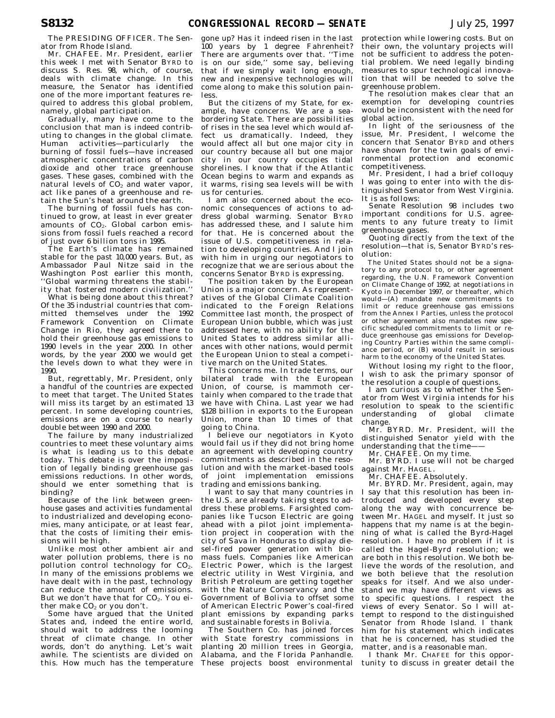The PRESIDING OFFICER. The Senator from Rhode Island.

Mr. CHAFEE. Mr. President, earlier this week I met with Senator BYRD to discuss S. Res. 98, which, of course, deals with climate change. In this measure, the Senator has identified one of the more important features required to address this global problem, namely, global participation.

Gradually, many have come to the conclusion that man is indeed contributing to changes in the global climate. Human activities—particularly the burning of fossil fuels—have increased atmospheric concentrations of carbon dioxide and other trace greenhouse gases. These gases, combined with the natural levels of  $CO<sub>2</sub>$  and water vapor, act like panes of a greenhouse and retain the Sun's heat around the earth.

The burning of fossil fuels has continued to grow, at least in ever greater amounts of  $CO<sub>2</sub>$ . Global carbon emissions from fossil fuels reached a record of just over 6 billion tons in 1995.

The Earth's climate has remained stable for the past 10,000 years. But, as Ambassador Paul Nitze said in the Washington Post earlier this month, ''Global warming threatens the stability that fostered modern civilization.''

What is being done about this threat? Of the 35 industrial countries that committed themselves under the 1992 Framework Convention on Climate Change in Rio, they agreed there to hold their greenhouse gas emissions to 1990 levels in the year 2000. In other words, by the year 2000 we would get the levels down to what they were in 1990.

But, regrettably, Mr. President, only a handful of the countries are expected to meet that target. The United States will miss its target by an estimated 13 percent. In some developing countries, emissions are on a course to nearly double between 1990 and 2000.

The failure by many industrialized countries to meet these voluntary aims is what is leading us to this debate today. This debate is over the imposition of legally binding greenhouse gas emissions reductions. In other words, should we enter something that is binding?

Because of the link between greenhouse gases and activities fundamental to industrialized and developing economies, many anticipate, or at least fear, that the costs of limiting their emissions will be high.

Unlike most other ambient air and water pollution problems, there is no pollution control technology for  $CO<sub>2</sub>$ . In many of the emissions problems we have dealt with in the past, technology can reduce the amount of emissions. But we don't have that for  $CO<sub>2</sub>$ . You either make  $CO<sub>2</sub>$  or you don't.

Some have argued that the United States and, indeed the entire world, should wait to address the looming threat of climate change. In other words, don't do anything. Let's wait awhile. The scientists are divided on this. How much has the temperature

gone up? Has it indeed risen in the last 100 years by 1 degree Fahrenheit? There are arguments over that. ''Time is on our side,'' some say, believing that if we simply wait long enough, new and inexpensive technologies will come along to make this solution painless.

But the citizens of my State, for example, have concerns. We are a seabordering State. There are possibilities of rises in the sea level which would affect us dramatically. Indeed, they would affect all but one major city in our country because all but one major city in our country occupies tidal shorelines. I know that if the Atlantic Ocean begins to warm and expands as it warms, rising sea levels will be with us for centuries.

I am also concerned about the economic consequences of actions to address global warming. Senator BYRD has addressed these, and I salute him for that. He is concerned about the issue of U.S. competitiveness in relation to developing countries. And I join with him in urging our negotiators to recognize that we are serious about the concerns Senator BYRD is expressing.

The position taken by the European Union is a major concern. As representatives of the Global Climate Coalition indicated to the Foreign Relations Committee last month, the prospect of European Union bubble, which was just addressed here, with no ability for the United States to address similar alliances with other nations, would permit the European Union to steal a competitive march on the United States.

This concerns me. In trade terms, our bilateral trade with the European Union, of course, is mammoth certainly when compared to the trade that we have with China. Last year we had \$128 billion in exports to the European Union, more than 10 times of that going to China.

I believe our negotiators in Kyoto would fail us if they did not bring home an agreement with developing country commitments as described in the resolution and with the market-based tools of joint implementation emissions trading and emissions banking.

I want to say that many countries in the U.S. are already taking steps to address these problems. Farsighted companies like Tucson Electric are going ahead with a pilot joint implementation project in cooperation with the city of Sava in Honduras to display diesel-fired power generation with biomass fuels. Companies like American Electric Power, which is the largest electric utility in West Virginia, and British Petroleum are getting together with the Nature Conservancy and the Government of Bolivia to offset some of American Electric Power's coal-fired plant emissions by expanding parks and sustainable forests in Bolivia.

The Southern Co. has joined forces with State forestry commissions in planting 20 million trees in Georgia, Alabama, and the Florida Panhandle. These projects boost environmental

protection while lowering costs. But on their own, the voluntary projects will not be sufficient to address the potential problem. We need legally binding measures to spur technological innovation that will be needed to solve the greenhouse problem.

The resolution makes clear that an exemption for developing countries would be inconsistent with the need for global action.

In light of the seriousness of the issue, Mr. President, I welcome the concern that Senator BYRD and others have shown for the twin goals of environmental protection and economic competitiveness.

Mr. President, I had a brief colloquy I was going to enter into with the distinguished Senator from West Virginia. It is as follows:

Senate Resolution 98 includes two important conditions for U.S. agreements to any future treaty to limit greenhouse gases.

Quoting directly from the text of the resolution—that is, Senator BYRD's resolution:

The United States should not be a signatory to any protocol to, or other agreement regarding, the U.N. Framework Convention on Climate Change of 1992, at negotiations in Kyoto in December 1997, or thereafter, which would—(A) mandate new commitments to limit or reduce greenhouse gas emissions from the Annex I Parties, unless the protocol or other agreement also mandates new specific scheduled commitments to limit or reduce greenhouse gas emissions for Developing Country Parties within the same compliance period, or (B) would result in serious harm to the economy of the United States.

Without losing my right to the floor, I wish to ask the primary sponsor of the resolution a couple of questions.

I am curious as to whether the Senator from West Virginia intends for his resolution to speak to the scientific understanding of global climate change.

Mr. BYRD. Mr. President, will the distinguished Senator yield with the understanding that the time-

Mr. CHAFEE. On my time.

Mr. BYRD. I use will not be charged against Mr. HAGEL.

Mr. CHAFEE. Absolutely.

Mr. BYRD. Mr. President, again, may I say that this resolution has been introduced and developed every step along the way with concurrence between Mr. HAGEL and myself. It just so happens that my name is at the beginning of what is called the Byrd-Hagel resolution. I have no problem if it is called the Hagel-Byrd resolution; we are both in this resolution. We both believe the words of the resolution, and we both believe that the resolution speaks for itself. And we also understand we may have different views as to specific questions. I respect the views of every Senator. So I will attempt to respond to the distinguished Senator from Rhode Island. I thank him for his statement which indicates that he is concerned, has studied the matter, and is a reasonable man.

I thank Mr. CHAFEE for this opportunity to discuss in greater detail the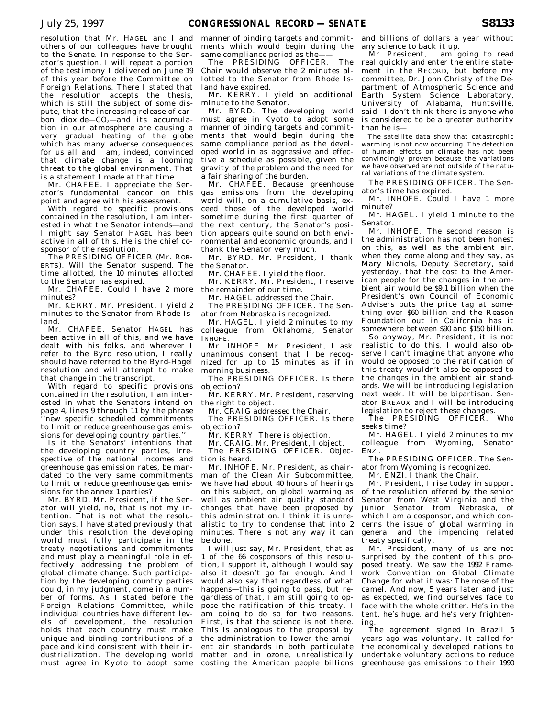resolution that Mr. HAGEL and I and others of our colleagues have brought to the Senate. In response to the Senator's question, I will repeat a portion of the testimony I delivered on June 19 of this year before the Committee on Foreign Relations. There I stated that the resolution accepts the thesis, which is still the subject of some dispute, that the increasing release of carbon dioxide— $CO<sub>2</sub>$ —and its accumulation in our atmosphere are causing a very gradual heating of the globe which has many adverse consequences for us all and I am, indeed, convinced that climate change is a looming threat to the global environment. That is a statement I made at that time.

Mr. CHAFEE. I appreciate the Senator's fundamental candor on this point and agree with his assessment.

With regard to specific provisions contained in the resolution, I am interested in what the Senator intends—and I might say Senator HAGEL has been active in all of this. He is the chief cosponsor of the resolution.

The PRESIDING OFFICER (Mr. ROB-ERTS). Will the Senator suspend. The time allotted, the 10 minutes allotted to the Senator has expired.

Mr. CHAFEE. Could I have 2 more minutes?

Mr. KERRY. Mr. President, I yield 2 minutes to the Senator from Rhode Island.

Mr. CHAFEE. Senator HAGEL has been active in all of this, and we have dealt with his folks, and wherever I refer to the Byrd resolution, I really should have referred to the Byrd-Hagel resolution and will attempt to make that change in the transcript.

With regard to specific provisions contained in the resolution, I am interested in what the Senators intend on page 4, lines 9 through 11 by the phrase 'new specific scheduled commitments to limit or reduce greenhouse gas emissions for developing country parties.

Is it the Senators' intentions that the developing country parties, irrespective of the national incomes and greenhouse gas emission rates, be mandated to the very same commitments to limit or reduce greenhouse gas emissions for the annex 1 parties?

Mr. BYRD. Mr. President, if the Senator will yield, no, that is not my intention. That is not what the resolution says. I have stated previously that under this resolution the developing world must fully participate in the treaty negotiations and commitments and must play a meaningful role in effectively addressing the problem of global climate change. Such participation by the developing country parties could, in my judgment, come in a number of forms. As I stated before the Foreign Relations Committee, while individual countries have different levels of development, the resolution holds that each country must make unique and binding contributions of a pace and kind consistent with their industrialization. The developing world must agree in Kyoto to adopt some

manner of binding targets and commitmanner which would begin during the same compliance period as the-

The PRESIDING OFFICER. The Chair would observe the 2 minutes allotted to the Senator from Rhode Island have expired.

Mr. KERRY. I yield an additional minute to the Senator.

Mr. BYRD. The developing world must agree in Kyoto to adopt some manner of binding targets and commitments that would begin during the same compliance period as the developed world in as aggressive and effective a schedule as possible, given the gravity of the problem and the need for a fair sharing of the burden.

Mr. CHAFEE. Because greenhouse gas emissions from the developing world will, on a cumulative basis, exceed those of the developed world sometime during the first quarter of the next century, the Senator's position appears quite sound on both environmental and economic grounds, and I thank the Senator very much.

Mr. BYRD. Mr. President, I thank the Senator.

Mr. CHAFEE. I yield the floor.

Mr. KERRY. Mr. President, I reserve the remainder of our time.

Mr. HAGEL addressed the Chair.

The PRESIDING OFFICER. The Senator from Nebraska is recognized.

Mr. HAGEL. I yield 2 minutes to my colleague from Oklahoma, Senator INHOFE.

Mr. INHOFE. Mr. President, I ask unanimous consent that I be recognized for up to 15 minutes as if in morning business.

The PRESIDING OFFICER. Is there objection?

Mr. KERRY. Mr. President, reserving the right to object.

Mr. CRAIG addressed the Chair.

The PRESIDING OFFICER. Is there objection?

Mr. KERRY. There is objection.

Mr. CRAIG. Mr. President, I object.

The PRESIDING OFFICER. Objection is heard.

Mr. INHOFE. Mr. President, as chairman of the Clean Air Subcommittee, we have had about 40 hours of hearings on this subject, on global warming as well as ambient air quality standard changes that have been proposed by this administration. I think it is unrealistic to try to condense that into 2 minutes. There is not any way it can be done.

I will just say, Mr. President, that as 1 of the 66 cosponsors of this resolution, I support it, although I would say also it doesn't go far enough. And I would also say that regardless of what happens—this is going to pass, but regardless of that, I am still going to oppose the ratification of this treaty. I am going to do so for two reasons. First, is that the science is not there. This is analogous to the proposal by the administration to lower the ambient air standards in both particulate matter and in ozone, unrealistically costing the American people billions

and billions of dollars a year without any science to back it up.

Mr. President, I am going to read real quickly and enter the entire statement in the RECORD, but before my committee, Dr. John Christy of the Department of Atmospheric Science and Earth System Science Laboratory, University of Alabama, Huntsville, said—I don't think there is anyone who is considered to be a greater authority than he is—

The satellite data show that catastrophic warming is not now occurring. The detection of human effects on climate has not been convincingly proven because the variations we have observed are not outside of the natural variations of the climate system.

The PRESIDING OFFICER. The Senator's time has expired.

Mr. INHOFE. Could I have 1 more minute?

Mr. HAGEL. I yield 1 minute to the Senator.

Mr. INHOFE. The second reason is the administration has not been honest on this, as well as the ambient air, when they come along and they say, as Mary Nichols, Deputy Secretary, said yesterday, that the cost to the American people for the changes in the ambient air would be \$9.1 billion when the President's own Council of Economic Advisers puts the price tag at something over \$60 billion and the Reason Foundation out in California has it somewhere between \$90 and \$150 billion.

So anyway, Mr. President, it is not realistic to do this. I would also observe I can't imagine that anyone who would be opposed to the ratification of this treaty wouldn't also be opposed to the changes in the ambient air standards. We will be introducing legislation next week. It will be bipartisan. Senator BREAUX and I will be introducing

legislation to reject these changes.<br>The PRESIDING OFFICER Who The PRESIDING OFFICER. seeks time?

Mr. HAGEL. I yield 2 minutes to my colleague from Wyoming, Senator ENZI.

The PRESIDING OFFICER. The Senator from Wyoming is recognized.

Mr. ENZI. I thank the Chair.

Mr. President, I rise today in support of the resolution offered by the senior Senator from West Virginia and the junior Senator from Nebraska, of which I am a cosponsor, and which concerns the issue of global warming in general and the impending related treaty specifically.

Mr. President, many of us are not surprised by the content of this proposed treaty. We saw the 1992 Framework Convention on Global Climate Change for what it was: The nose of the camel. And now, 5 years later and just as expected, we find ourselves face to face with the whole critter. He's in the tent, he's huge, and he's very frightening.

The agreement signed in Brazil 5 years ago was voluntary. It called for the economically developed nations to undertake voluntary actions to reduce greenhouse gas emissions to their 1990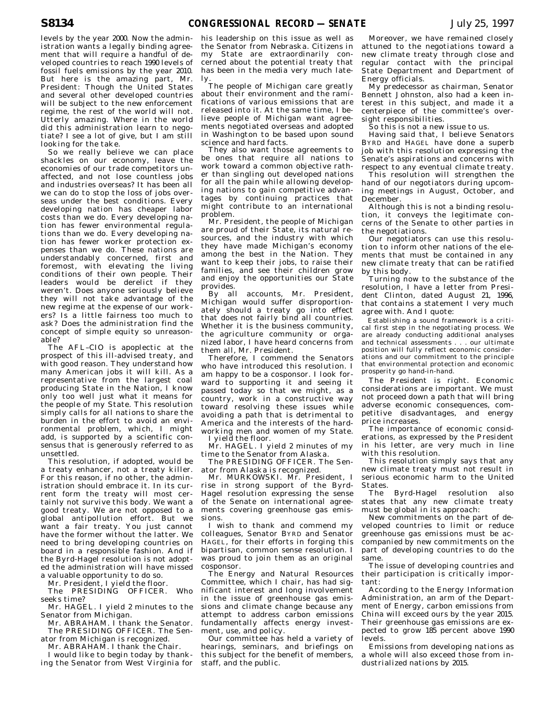levels by the year 2000. Now the administration wants a legally binding agreement that will require a handful of developed countries to reach 1990 levels of fossil fuels emissions by the year 2010. But here is the amazing part, Mr. President: Though the United States and several other developed countries will be subject to the new enforcement regime, the rest of the world will not. Utterly amazing. Where in the world did this administration learn to negotiate? I see a lot of give, but I am still looking for the take.

So we really believe we can place shackles on our economy, leave the economies of our trade competitors unaffected, and not lose countless jobs and industries overseas? It has been all we can do to stop the loss of jobs overseas under the best conditions. Every developing nation has cheaper labor costs than we do. Every developing nation has fewer environmental regulations than we do. Every developing nation has fewer worker protection expenses than we do. These nations are understandably concerned, first and foremost, with elevating the living conditions of their own people. Their leaders would be derelict if they weren't. Does anyone seriously believe they will not take advantage of the new regime at the expense of our workers? Is a little fairness too much to ask? Does the administration find the concept of simple equity so unreasonable?

The AFL–CIO is apoplectic at the prospect of this ill-advised treaty, and with good reason. They understand how many American jobs it will kill. As a representative from the largest coal producing State in the Nation, I know only too well just what it means for the people of my State. This resolution simply calls for all nations to share the burden in the effort to avoid an environmental problem, which, I might add, is supported by a scientific consensus that is generously referred to as unsettled.

This resolution, if adopted, would be a treaty enhancer, not a treaty killer. For this reason, if no other, the administration should embrace it. In its current form the treaty will most certainly not survive this body. We want a good treaty. We are not opposed to a global antipollution effort. But we want a fair treaty. You just cannot have the former without the latter. We need to bring developing countries on board in a responsible fashion. And if the Byrd-Hagel resolution is not adopted the administration will have missed a valuable opportunity to do so.

Mr. President, I yield the floor.

The PRESIDING OFFICER. Who seeks time?

Mr. HAGEL. I yield 2 minutes to the Senator from Michigan.

Mr. ABRAHAM. I thank the Senator. The PRESIDING OFFICER. The Senator from Michigan is recognized.

Mr. ABRAHAM. I thank the Chair.

I would like to begin today by thanking the Senator from West Virginia for

his leadership on this issue as well as the Senator from Nebraska. Citizens in my State are extraordinarily concerned about the potential treaty that has been in the media very much lately.

The people of Michigan care greatly about their environment and the ramifications of various emissions that are released into it. At the same time, I believe people of Michigan want agreements negotiated overseas and adopted in Washington to be based upon sound science and hard facts.

They also want those agreements to be ones that require all nations to work toward a common objective rather than singling out developed nations for all the pain while allowing developing nations to gain competitive advantages by continuing practices that might contribute to an international problem.

Mr. President, the people of Michigan are proud of their State, its natural resources, and the industry with which they have made Michigan's economy among the best in the Nation. They want to keep their jobs, to raise their families, and see their children grow and enjoy the opportunities our State

provides.<br>By all accounts, Mr. President, Michigan would suffer disproportionately should a treaty go into effect that does not fairly bind all countries. Whether it is the business community, the agriculture community or organized labor, I have heard concerns from them all, Mr. President.

Therefore, I commend the Senators who have introduced this resolution. I am happy to be a cosponsor. I look forward to supporting it and seeing it passed today so that we might, as a country, work in a constructive way toward resolving these issues while avoiding a path that is detrimental to America and the interests of the hardworking men and women of my State. I yield the floor.

Mr. HAGEL. I yield 2 minutes of my

time to the Senator from Alaska. The PRESIDING OFFICER. The Senator from Alaska is recognized.

Mr. MURKOWSKI. Mr. President, I rise in strong support of the Byrd-Hagel resolution expressing the sense of the Senate on international agreements covering greenhouse gas emissions.

I wish to thank and commend my colleagues, Senator BYRD and Senator HAGEL, for their efforts in forging this bipartisan, common sense resolution. I was proud to join them as an original cosponsor.

The Energy and Natural Resources Committee, which I chair, has had significant interest and long involvement in the issue of greenhouse gas emissions and climate change because any attempt to address carbon emissions fundamentally affects energy investment, use, and policy.

Our committee has held a variety of hearings, seminars, and briefings on this subject for the benefit of members, staff, and the public.

Moreover, we have remained closely attuned to the negotiations toward a new climate treaty through close and regular contact with the principal State Department and Department of Energy officials.

My predecessor as chairman, Senator Bennett Johnston, also had a keen interest in this subject, and made it a centerpiece of the committee's oversight responsibilities.

So this is not a new issue to us.

Having said that, I believe Senators BYRD and HAGEL have done a superb job with this resolution expressing the Senate's aspirations and concerns with respect to any eventual climate treaty.

This resolution will strengthen the hand of our negotiators during upcoming meetings in August, October, and December.

Although this is not a binding resolution, it conveys the legitimate concerns of the Senate to other parties in the negotiations.

Our negotiators can use this resolution to inform other nations of the elements that must be contained in any new climate treaty that can be ratified by this body.

Turning now to the substance of the resolution, I have a letter from President Clinton, dated August 21, 1996, that contains a statement I very much agree with. And I quote:

Establishing a sound framework is a critical first step in the negotiating process. We are already conducting additional analyses and technical assessments . . . our ultimate position will fully reflect economic considerations and our commitment to the principle that environmental protection and economic prosperity go hand-in-hand.

The President is right. Economic considerations are important. We must not proceed down a path that will bring adverse economic consequences, competitive disadvantages, and energy price increases.

The importance of economic considerations, as expressed by the President in his letter, are very much in line with this resolution.

This resolution simply says that any new climate treaty must not result in serious economic harm to the United States.<br>The

Byrd-Hagel resolution also states that any new climate treaty must be global in its approach:

New commitments on the part of developed countries to limit or reduce greenhouse gas emissions must be accompanied by new commitments on the part of developing countries to do the same.

The issue of developing countries and their participation is critically important:

According to the Energy Information Administration, an arm of the Department of Energy, carbon emissions from China will exceed ours by the year 2015. Their greenhouse gas emissions are expected to grow 185 percent above 1990 levels.

Emissions from developing nations as a whole will also exceed those from industrialized nations by 2015.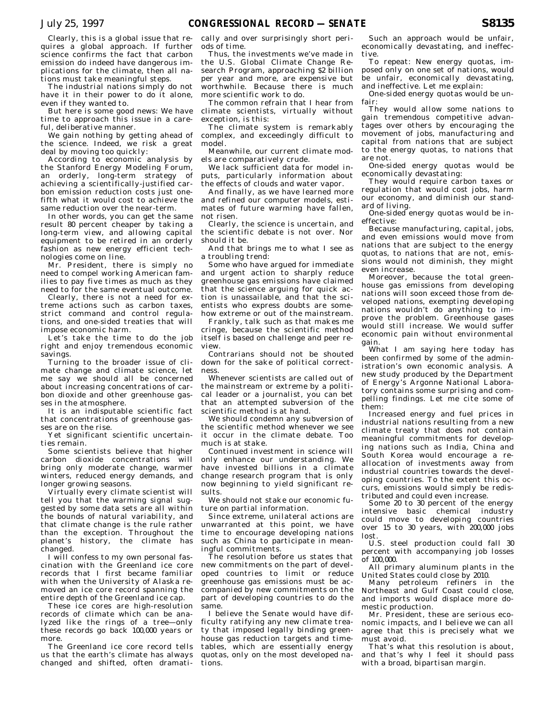Clearly, this is a global issue that requires a global approach. If further science confirms the fact that carbon emission do indeed have dangerous implications for the climate, then all nations must take meaningful steps.

The industrial nations simply do not have it in their power to do it alone, even if they wanted to.

But here is some good news: We have time to approach this issue in a careful, deliberative manner.

We gain nothing by getting ahead of the science. Indeed, we risk a great deal by moving too quickly:

According to economic analysis by the Stanford Energy Modeling Forum, an orderly, long-term strategy of achieving a scientifically-justified carbon emission reduction costs just onefifth what it would cost to achieve the same reduction over the near-term.

In other words, you can get the same result 80 percent cheaper by taking a long-term view, and allowing capital equipment to be retired in an orderly fashion as new energy efficient technologies come on line.

Mr. President, there is simply no need to compel working American families to pay five times as much as they need to for the same eventual outcome.

Clearly, there is not a need for extreme actions such as carbon taxes, strict command and control regulations, and one-sided treaties that will impose economic harm.

Let's take the time to do the job right and enjoy tremendous economic savings.

Turning to the broader issue of climate change and climate science, let me say we should all be concerned about increasing concentrations of carbon dioxide and other greenhouse gasses in the atmosphere.

It is an indisputable scientific fact that concentrations of greenhouse gasses are on the rise.

Yet significant scientific uncertainties remain.

Some scientists believe that higher carbon dioxide concentrations will bring only moderate change, warmer winters, reduced energy demands, and longer growing seasons.

Virtually every climate scientist will tell you that the warming signal suggested by some data sets are all within the bounds of natural variability, and that climate change is the rule rather than the exception. Throughout the planet's history, the climate has changed.

I will confess to my own personal fascination with the Greenland ice core records that I first became familiar with when the University of Alaska removed an ice core record spanning the entire depth of the Greenland ice cap.

These ice cores are high-resolution records of climate which can be analyzed like the rings of a tree—only these records go back 100,000 years or more.

The Greenland ice core record tells us that the earth's climate has always changed and shifted, often dramati-

cally and over surprisingly short periods of time.

Thus, the investments we've made in the U.S. Global Climate Change Research Program, approaching \$2 billion per year and more, are expensive but worthwhile. Because there is much more scientific work to do.

The common refrain that I hear from climate scientists, virtually without exception, is this:

The climate system is remarkably complex, and exceedingly difficult to model.

Meanwhile, our current climate models are comparatively crude.

We lack sufficient data for model inputs, particularly information about the effects of clouds and water vapor.

And finally, as we have learned more and refined our computer models, estimates of future warming have fallen, not risen.

Clearly, the science is uncertain, and the scientific debate is not over. Nor should it be.

And that brings me to what I see as a troubling trend:

Some who have argued for immediate and urgent action to sharply reduce greenhouse gas emissions have claimed that the science arguing for quick action is unassailable, and that the scientists who express doubts are somehow extreme or out of the mainstream.

Frankly, talk such as that makes me cringe, because the scientific method itself is based on challenge and peer review.

Contrarians should not be shouted down for the sake of political correctness.

Whenever scientists are called out of the mainstream or extreme by a political leader or a journalist, you can bet that an attempted subversion of the scientific method is at hand.

We should condemn any subversion of the scientific method whenever we see it occur in the climate debate. Too much is at stake.

Continued investment in science will only enhance our understanding. We have invested billions in a climate change research program that is only now beginning to yield significant results.

We should not stake our economic future on partial information.

Since extreme, unilateral actions are unwarranted at this point, we have time to encourage developing nations such as China to participate in meaningful commitments.

The resolution before us states that new commitments on the part of developed countries to limit or reduce greenhouse gas emissions must be accompanied by new commitments on the part of developing countries to do the same.

I believe the Senate would have difficulty ratifying any new climate treaty that imposed legally binding greenhouse gas reduction targets and timetables, which are essentially energy quotas, only on the most developed nations.

Such an approach would be unfair, economically devastating, and ineffective.

To repeat: New energy quotas, imposed only on one set of nations, would be unfair, economically devastating, and ineffective. Let me explain:

One-sided energy quotas would be unfair:

They would allow some nations to gain tremendous competitive advantages over others by encouraging the movement of jobs, manufacturing and capital from nations that are subject to the energy quotas, to nations that are not.

One-sided energy quotas would be economically devastating:

They would require carbon taxes or regulation that would cost jobs, harm our economy, and diminish our standard of living.

One-sided energy quotas would be ineffective:

Because manufacturing, capital, jobs, and even emissions would move from nations that are subject to the energy quotas, to nations that are not, emissions would not diminish, they might even increase.

Moreover, because the total greenhouse gas emissions from developing nations will soon exceed those from developed nations, exempting developing nations wouldn't do anything to improve the problem. Greenhouse gases would still increase. We would suffer economic pain without environmental gain.

What I am saying here today has been confirmed by some of the administration's own economic analysis. A new study produced by the Department of Energy's Argonne National Laboratory contains some surprising and compelling findings. Let me cite some of them:

Increased energy and fuel prices in industrial nations resulting from a new climate treaty that does not contain meaningful commitments for developing nations such as India, China and South Korea would encourage a reallocation of investments away from industrial countries towards the developing countries. To the extent this occurs, emissions would simply be redistributed and could even increase.

Some 20 to 30 percent of the energy intensive basic chemical industry could move to developing countries over 15 to 30 years, with 200,000 jobs lost.

U.S. steel production could fall 30 percent with accompanying job losses of 100,000.

All primary aluminum plants in the United States could close by 2010.

Many petroleum refiners in the Northeast and Gulf Coast could close, and imports would displace more domestic production.

Mr. President, these are serious economic impacts, and I believe we can all agree that this is precisely what we must avoid.

That's what this resolution is about, and that's why I feel it should pass with a broad, bipartisan margin.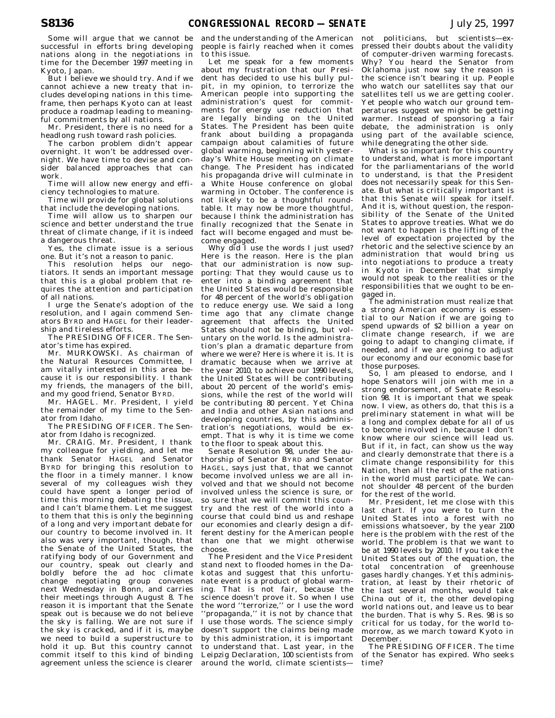Some will argue that we cannot be successful in efforts bring developing nations along in the negotiations in time for the December 1997 meeting in Kyoto, Japan.

But I believe we should try. And if we cannot achieve a new treaty that includes developing nations in this timeframe, then perhaps Kyoto can at least produce a roadmap leading to meaningful commitments by all nations.

Mr. President, there is no need for a headlong rush toward rash policies.

The carbon problem didn't appear overnight. It won't be addressed overnight. We have time to devise and consider balanced approaches that can work.

Time will allow new energy and efficiency technologies to mature.

Time will provide for global solutions that include the developing nations.

Time will allow us to sharpen our science and better understand the true threat of climate change, if it is indeed a dangerous threat.

Yes, the climate issue is a serious one. But it's not a reason to panic.

This resolution helps our negotiators. It sends an important message that this is a global problem that requires the attention and participation of all nations.

I urge the Senate's adoption of the resolution, and I again commend Senators BYRD and HAGEL for their leadership and tireless efforts.

The PRESIDING OFFICER. The Senator's time has expired.

Mr. MURKOWSKI. As chairman of the Natural Resources Committee, I am vitally interested in this area because it is our responsibility. I thank my friends, the managers of the bill, and my good friend, Senator BYRD.

Mr. HAGEL. Mr. President, I yield the remainder of my time to the Senator from Idaho.

The PRESIDING OFFICER. The Senator from Idaho is recognized.

Mr. CRAIG. Mr. President, I thank my colleague for yielding, and let me thank Senator HAGEL and Senator BYRD for bringing this resolution to the floor in a timely manner. I know several of my colleagues wish they could have spent a longer period of time this morning debating the issue, and I can't blame them. Let me suggest to them that this is only the beginning of a long and very important debate for our country to become involved in. It also was very important, though, that the Senate of the United States, the ratifying body of our Government and our country, speak out clearly and boldly before the ad hoc climate change negotiating group convenes next Wednesday in Bonn, and carries their meetings through August 8. The reason it is important that the Senate speak out is because we do not believe the sky is falling. We are not sure if the sky is cracked, and if it is, maybe we need to build a superstructure to hold it up. But this country cannot commit itself to this kind of binding agreement unless the science is clearer

and the understanding of the American people is fairly reached when it comes to this issue.

Let me speak for a few moments about my frustration that our President has decided to use his bully pulpit, in my opinion, to terrorize the American people into supporting the administration's quest for commitments for energy use reduction that are legally binding on the United States. The President has been quite frank about building a propaganda campaign about calamities of future global warming, beginning with yesterday's White House meeting on climate change. The President has indicated his propaganda drive will culminate in a White House conference on global warming in October. The conference is not likely to be a thoughtful roundtable. It may now be more thoughtful, because I think the administration has finally recognized that the Senate in fact will become engaged and must become engaged.

Why did I use the words I just used? Here is the reason. Here is the plan that our administration is now supporting: That they would cause us to enter into a binding agreement that the United States would be responsible for 48 percent of the world's obligation to reduce energy use. We said a long time ago that any climate change agreement that affects the United States should not be binding, but voluntary on the world. Is the administration's plan a dramatic departure from where we were? Here is where it is. It is dramatic because when we arrive at the year 2010, to achieve our 1990 levels, the United States will be contributing about 20 percent of the world's emissions, while the rest of the world will be contributing 80 percent. Yet China and India and other Asian nations and developing countries, by this administration's negotiations, would be exempt. That is why it is time we come to the floor to speak about this.

Senate Resolution 98, under the authorship of Senator BYRD and Senator HAGEL, says just that, that we cannot become involved unless we are all involved and that we should not become involved unless the science is sure, or so sure that we will commit this country and the rest of the world into a course that could bind us and reshape our economies and clearly design a different destiny for the American people than one that we might otherwise choose.

The President and the Vice President stand next to flooded homes in the Dakotas and suggest that this unfortunate event is a product of global warming. That is not fair, because the science doesn't prove it. So when I use the word ''terrorize,'' or I use the word 'propaganda," it is not by chance that I use those words. The science simply doesn't support the claims being made by this administration, it is important to understand that. Last year, in the Leipzig Declaration, 100 scientists from around the world, climate scientists—

not politicians, but scientists—expressed their doubts about the validity of computer-driven warming forecasts. Why? You heard the Senator from Oklahoma just now say the reason is the science isn't bearing it up. People who watch our satellites say that our satellites tell us we are getting cooler. Yet people who watch our ground temperatures suggest we might be getting warmer. Instead of sponsoring a fair debate, the administration is only using part of the available science. while denegrating the other side.

What is so important for this country to understand, what is more important for the parliamentarians of the world to understand, is that the President does not necessarily speak for this Senate. But what is critically important is that this Senate will speak for itself. And it is, without question, the responsibility of the Senate of the United States to approve treaties. What we do not want to happen is the lifting of the level of expectation projected by the rhetoric and the selective science by an administration that would bring us into negotiations to produce a treaty in Kyoto in December that simply would not speak to the realities or the responsibilities that we ought to be engaged in.

The administration must realize that a strong American economy is essential to our Nation if we are going to spend upwards of \$2 billion a year on climate change research, if we are going to adapt to changing climate, if needed, and if we are going to adjust our economy and our economic base for those purposes.

So, I am pleased to endorse, and I hope Senators will join with me in a strong endorsement, of Senate Resolution 98. It is important that we speak now. I view, as others do, that this is a preliminary statement in what will be a long and complex debate for all of us to become involved in, because I don't know where our science will lead us. But if it, in fact, can show us the way and clearly demonstrate that there is a climate change responsibility for this Nation, then all the rest of the nations in the world must participate. We cannot shoulder 48 percent of the burden for the rest of the world.

Mr. President, let me close with this last chart. If you were to turn the United States into a forest with no emissions whatsoever, by the year 2100 here is the problem with the rest of the world. The problem is that we want to be at 1990 levels by 2010. If you take the United States out of the equation, the total concentration of greenhouse gases hardly changes. Yet this administration, at least by their rhetoric of the last several months, would take China out of it, the other developing world nations out, and leave us to bear the burden. That is why S. Res. 98 is so critical for us today, for the world tomorrow, as we march toward Kyoto in December.

The PRESIDING OFFICER. The time of the Senator has expired. Who seeks time?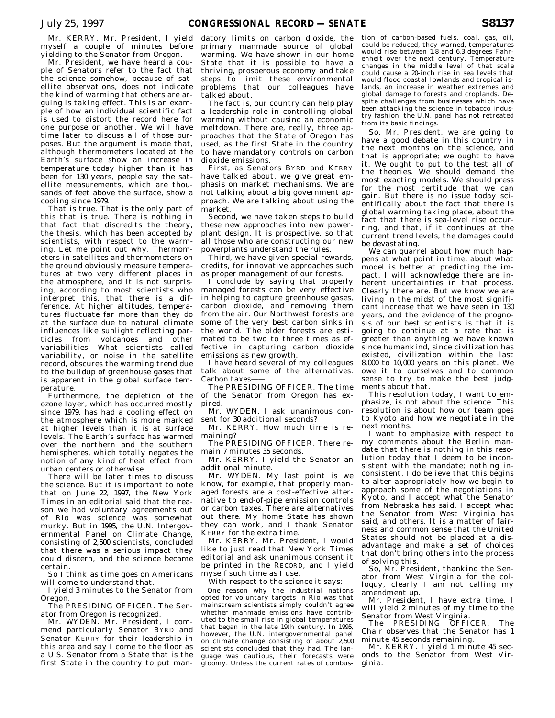Mr. KERRY. Mr. President, I yield myself a couple of minutes before yielding to the Senator from Oregon.

Mr. President, we have heard a couple of Senators refer to the fact that the science somehow, because of satellite observations, does not indicate the kind of warming that others are arguing is taking effect. This is an example of how an individual scientific fact is used to distort the record here for one purpose or another. We will have time later to discuss all of those purposes. But the argument is made that, although thermometers located at the Earth's surface show an increase in temperature today higher than it has been for 130 years, people say the satellite measurements, which are thousands of feet above the surface, show a cooling since 1979.

That is true. That is the only part of this that is true. There is nothing in that fact that discredits the theory, the thesis, which has been accepted by scientists, with respect to the warming. Let me point out why. Thermometers in satellites and thermometers on the ground obviously measure temperatures at two very different places in the atmosphere, and it is not surprising, according to most scientists who interpret this, that there is a difference. At higher altitudes, temperatures fluctuate far more than they do at the surface due to natural climate influences like sunlight reflecting particles from volcanoes and other variabilities. What scientists called variability, or noise in the satellite record, obscures the warming trend due to the buildup of greenhouse gases that is apparent in the global surface temperature.

Furthermore, the depletion of the ozone layer, which has occurred mostly since 1979, has had a cooling effect on the atmosphere which is more marked at higher levels than it is at surface levels. The Earth's surface has warmed over the northern and the southern hemispheres, which totally negates the notion of any kind of heat effect from urban centers or otherwise.

There will be later times to discuss the science. But it is important to note that on June 22, 1997, the New York Times in an editorial said that the reason we had voluntary agreements out of Rio was science was somewhat murky. But in 1995, the U.N. Intergovernmental Panel on Climate Change, consisting of 2,500 scientists, concluded that there was a serious impact they could discern, and the science became certain.

So I think as time goes on Americans will come to understand that.

I yield 3 minutes to the Senator from Oregon.

The PRESIDING OFFICER. The Senator from Oregon is recognized.

Mr. WYDEN. Mr. President, I commend particularly Senator BYRD and Senator KERRY for their leadership in this area and say I come to the floor as a U.S. Senator from a State that is the first State in the country to put mandatory limits on carbon dioxide, the primary manmade source of global warming. We have shown in our home State that it is possible to have a thriving, prosperous economy and take steps to limit these environmental problems that our colleagues have talked about.

The fact is, our country can help play a leadership role in controlling global warming without causing an economic meltdown. There are, really, three approaches that the State of Oregon has used, as the first State in the country to have mandatory controls on carbon dioxide emissions.

First, as Senators BYRD and KERRY have talked about, we give great emphasis on market mechanisms. We are not talking about a big government approach. We are talking about using the market.

Second, we have taken steps to build these new approaches into new powerplant design. It is prospective, so that all those who are constructing our new powerplants understand the rules.

Third, we have given special rewards, credits, for innovative approaches such as proper management of our forests.

I conclude by saying that properly managed forests can be very effective in helping to capture greenhouse gases, carbon dioxide, and removing them from the air. Our Northwest forests are some of the very best carbon sinks in the world. The older forests are estimated to be two to three times as effective in capturing carbon dioxide emissions as new growth.

I have heard several of my colleagues talk about some of the alternatives. Carbon taxes

The PRESIDING OFFICER. The time of the Senator from Oregon has expired.

Mr. WYDEN. I ask unanimous consent for 30 additional seconds?

Mr. KERRY. How much time is remaining?

The PRESIDING OFFICER. There remain 7 minutes 35 seconds.

Mr. KERRY. I yield the Senator an additional minute.

Mr. WYDEN. My last point is we know, for example, that properly managed forests are a cost-effective alternative to end-of-pipe emission controls or carbon taxes. There are alternatives out there. My home State has shown they can work, and I thank Senator KERRY for the extra time.

Mr. KERRY. Mr. President, I would like to just read that New York Times editorial and ask unanimous consent it be printed in the RECORD, and I yield myself such time as I use.

With respect to the science it says:

One reason why the industrial nations opted for voluntary targets in Rio was that mainstream scientists simply couldn't agree whether manmade emissions have contributed to the small rise in global temperatures that began in the late 19th century. In 1995, however, the U.N. intergovernmental panel on climate change consisting of about 2,500 scientists concluded that they had. The language was cautious, their forecasts were gloomy. Unless the current rates of combus-

tion of carbon-based fuels, coal, gas, oil, could be reduced, they warned, temperatures would rise between 1.8 and 6.3 degrees Fahrenheit over the next century. Temperature changes in the middle level of that scale could cause a 20-inch rise in sea levels that would flood coastal lowlands and tropical islands, an increase in weather extremes and global damage to forests and croplands. Despite challenges from businesses which have been attacking the science in tobacco industry fashion, the U.N. panel has not retreated from its basic findings.

So, Mr. President, we are going to have a good debate in this country in the next months on the science, and that is appropriate; we ought to have it. We ought to put to the test all of the theories. We should demand the most exacting models. We should press for the most certitude that we can gain. But there is no issue today scientifically about the fact that there is global warming taking place, about the fact that there is sea-level rise occurring, and that, if it continues at the current trend levels, the damages could be devastating.

We can quarrel about how much happens at what point in time, about what model is better at predicting the impact. I will acknowledge there are inherent uncertainties in that process. Clearly there are. But we know we are living in the midst of the most significant increase that we have seen in 130 years, and the evidence of the prognosis of our best scientists is that it is going to continue at a rate that is greater than anything we have known since humankind, since civilization has existed, civilization within the last 8,000 to 10,000 years on this planet. We owe it to ourselves and to common sense to try to make the best judgments about that.

This resolution today, I want to emphasize, is not about the science. This resolution is about how our team goes to Kyoto and how we negotiate in the next months.

I want to emphasize with respect to my comments about the Berlin mandate that there is nothing in this resolution today that I deem to be inconsistent with the mandate; nothing inconsistent. I do believe that this begins to alter appropriately how we begin to approach some of the negotiations in Kyoto, and I accept what the Senator from Nebraska has said, I accept what the Senator from West Virginia has said, and others. It is a matter of fairness and common sense that the United States should not be placed at a disadvantage and make a set of choices that don't bring others into the process of solving this.

So, Mr. President, thanking the Senator from West Virginia for the colloquy, clearly I am not calling my amendment up.

Mr. President, I have extra time. I will yield 2 minutes of my time to the Senator from West Virginia.

The PRESIDING OFFICER. The Chair observes that the Senator has 1 minute 45 seconds remaining.

Mr. KERRY. I yield 1 minute 45 seconds to the Senator from West Virginia.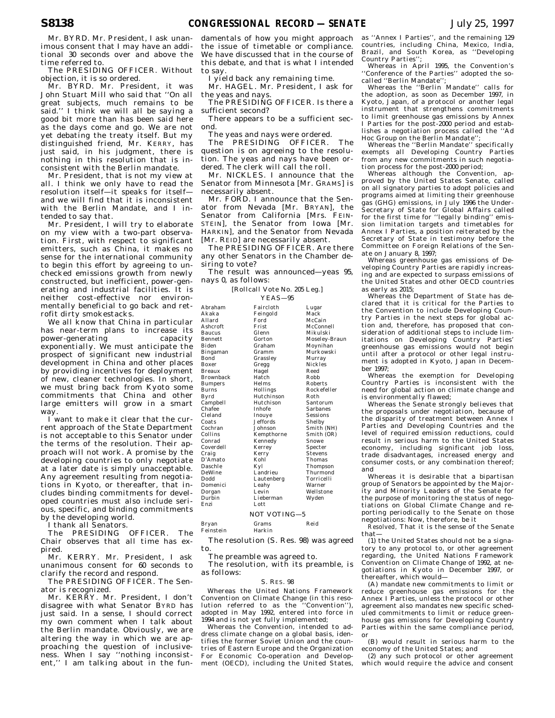Mr. BYRD. Mr. President, I ask unanimous consent that I may have an additional 30 seconds over and above the time referred to.

The PRESIDING OFFICER. Without objection, it is so ordered.

Mr. BYRD. Mr. President, it was John Stuart Mill who said that ''On all great subjects, much remains to be said." I think we will all be saying a good bit more than has been said here as the days come and go. We are not yet debating the treaty itself. But my distinguished friend, Mr. KERRY, has just said, in his judgment, there is nothing in this resolution that is inconsistent with the Berlin mandate.

Mr. President, that is not my view at all. I think we only have to read the resolution itself—it speaks for itself and we will find that it is inconsistent with the Berlin Mandate, and I intended to say that.

Mr. President, I will try to elaborate on my view with a two-part observation. First, with respect to significant emitters, such as China, it makes no sense for the international community to begin this effort by agreeing to unchecked emissions growth from newly constructed, but inefficient, power-generating and industrial facilities. It is neither cost-effective nor environmentally beneficial to go back and retrofit dirty smokestacks.

We all know that China in particular has near-term plans to increase its power-generating capacity exponentially. We must anticipate the prospect of significant new industrial development in China and other places by providing incentives for deployment of new, cleaner technologies. In short, we must bring back from Kyoto some commitments that China and other large emitters will grow in a smart way.

I want to make it clear that the current approach of the State Department is not acceptable to this Senator under the terms of the resolution. Their approach will not work. A promise by the developing countries to only negotiate at a later date is simply unacceptable. Any agreement resulting from negotiations in Kyoto, or thereafter, that includes binding commitments for developed countries must also include serious, specific, and binding commitments by the developing world.

I thank all Senators.

The PRESIDING OFFICER. The Chair observes that all time has expired.

Mr. KERRY. Mr. President, I ask unanimous consent for 60 seconds to clarify the record and respond.

The PRESIDING OFFICER. The Senator is recognized.

Mr. KERRY. Mr. President, I don't disagree with what Senator BYRD has just said. In a sense, I should correct my own comment when I talk about the Berlin mandate. Obviously, we are altering the way in which we are approaching the question of inclusiveness. When I say ''nothing inconsistent,'' I am talking about in the fun-

damentals of how you might approach the issue of timetable or compliance. We have discussed that in the course of this debate, and that is what I intended to say.

I yield back any remaining time.

Mr. HAGEL. Mr. President, I ask for the yeas and nays.

The PRESIDING OFFICER. Is there a sufficient second?

There appears to be a sufficient second.

The yeas and nays were ordered.

The PRESIDING OFFICER. The question is on agreeing to the resolution. The yeas and nays have been ordered. The clerk will call the roll.

Mr. NICKLES. I announce that the Senator from Minnesota [Mr. GRAMS] is necessarily absent.

Mr. FORD. I announce that the Senator from Nevada [Mr. BRYAN], the Senator from California [Mrs. FEIN-STEIN], the Senator from Iowa [Mr. HARKIN], and the Senator from Nevada [Mr. REID] are necessarily absent.

The PRESIDING OFFICER. Are there any other Senators in the Chamber desiring to vote?

The result was announced—yeas 95, nays 0, as follows:

[Rollcall Vote No. 205 Leg.]

YEAS—95

| Abraham             | Faircloth  | Lugar          |
|---------------------|------------|----------------|
| Akaka               | Feingold   | Mack           |
| Allard              | Ford       | McCain         |
| Ashcroft            | Frist      | McConnell      |
| Baucus              | Glenn      | Mikulski       |
| Bennett             | Gorton     | Moseley-Braun  |
| Biden               | Graham     | Moynihan       |
| Bingaman            | Gramm      | Murkowski      |
| Bond                | Grassley   | Murray         |
| Boxer               | Gregg      | Nickles        |
| Breaux              | Hagel      | Reed           |
| Brownback           | Hatch      | Robb           |
| Bumpers             | Helms      | Roberts        |
| Burns               | Hollings   | Rockefeller    |
| Byrd                | Hutchinson | Roth           |
| Campbell            | Hutchison  | Santorum       |
| Chafee              | Inhofe     | Sarbanes       |
| Cleland             | Inouye     | Sessions       |
| Coats               | Jeffords.  | Shelby         |
| Cochran             | Johnson    | Smith (NH)     |
| Collins             | Kempthorne | Smith (OR)     |
| Conrad              | Kennedy    | Snowe          |
| Coverdell           | Kerrey     | Specter        |
| Craig               | Kerry      | <b>Stevens</b> |
| D'Amato             | Kohl       | Thomas         |
| Daschle             | Kyl        | Thompson       |
| DeWine              | Landrieu   | Thurmond       |
| Dodd                | Lautenberg | Torricelli     |
| Domenici            | Leahy      | Warner         |
| Dorgan              | Levin      | Wellstone      |
| Durbin              | Lieberman  | Wyden          |
| Enzi                | Lott.      |                |
| <b>NOT VOTING-5</b> |            |                |
|                     |            |                |

### Bryan Feinstein Grams Harkin

The resolution (S. Res. 98) was agreed to.

Reid

The preamble was agreed to.

The resolution, with its preamble, is

as follows: S. RES. 98

Whereas the United Nations Framework Convention on Climate Change (in this resolution referred to as the ''Convention''), adopted in May 1992, entered into force in

1994 and is not yet fully implemented; Whereas the Convention, intended to address climate change on a global basis, identifies the former Soviet Union and the countries of Eastern Europe and the Organization For Economic Co-operation and Development (OECD), including the United States, as ''Annex I Parties'', and the remaining 129 countries, including China, Mexico, India, Brazil, and South Korea, as ''Developing Country Parties'';

Whereas in April 1995, the Convention's ''Conference of the Parties'' adopted the socalled "Berlin Mandate"

Whereas the ''Berlin Mandate'' calls for the adoption, as soon as December 1997, in Kyoto, Japan, of a protocol or another legal instrument that strengthens commitments to limit greenhouse gas emissions by Annex I Parties for the post-2000 period and establishes a negotiation process called the ''Ad Hoc Group on the Berlin Mandate'';

Whereas the ''Berlin Mandate'' specifically exempts all Developing Country Parties from any new commitments in such negotiation process for the post-2000 period;

Whereas although the Convention, proved by the United States Senate, called on all signatory parties to adopt policies and programs aimed at limiting their greenhouse gas (GHG) emissions, in July 1996 the Under-Secretary of State for Global Affairs called for the first time for ''legally binding'' emission limitation targets and timetables for Annex I Parties, a position reiterated by the Secretary of State in testimony before the Committee on Foreign Relations of the Senate on January 8, 1997;

Whereas greenhouse gas emissions of Developing Country Parties are rapidly increasing and are expected to surpass emissions of the United States and other OECD countries as early as 2015;

Whereas the Department of State has declared that it is critical for the Parties to the Convention to include Developing Country Parties in the next steps for global action and, therefore, has proposed that consideration of additional steps to include limitations on Developing Country Parties' greenhouse gas emissions would not begin until after a protocol or other legal instrument is adopted in Kyoto, Japan in December 1997;

Whereas the exemption for Developing Country Parties is inconsistent with the need for global action on climate change and is environmentally flawed;

Whereas the Senate strongly believes that the proposals under negotiation, because of the disparity of treatment between Annex I Parties and Developing Countries and the level of required emission reductions, could result in serious harm to the United States economy, including significant job loss, trade disadvantages, increased energy and consumer costs, or any combination thereof; and

Whereas it is desirable that a bipartisan group of Senators be appointed by the Majority and Minority Leaders of the Senate for the purpose of monitoring the status of negotiations on Global Climate Change and reporting periodically to the Senate on those negotiations: Now, therefore, be it

*Resolved,* That it is the sense of the Senate that—

(1) the United States should not be a signatory to any protocol to, or other agreement regarding, the United Nations Framework Convention on Climate Change of 1992, at negotiations in Kyoto in December 1997, or thereafter, which would—

(A) mandate new commitments to limit or reduce greenhouse gas emissions for the Annex I Parties, unless the protocol or other agreement also mandates new specific scheduled commitments to limit or reduce greenhouse gas emissions for Developing Country Parties within the same compliance period, or

(B) would result in serious harm to the economy of the United States; and

(2) any such protocol or other agreement which would require the advice and consent